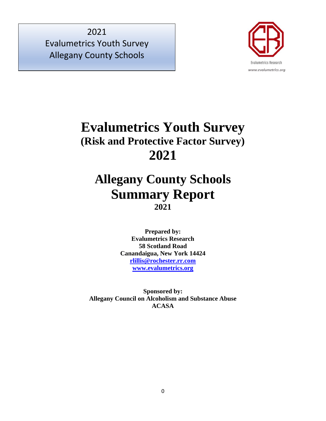

# **Evalumetrics Youth Survey (Risk and Protective Factor Survey) 2021**

# **Allegany County Schools Summary Report 2021**

**Prepared by: Evalumetrics Research 58 Scotland Road Canandaigua, New York 14424 [rlillis@rochester.rr.com](mailto:rlillis@rochester.rr.com) [www.evalumetrics.org](http://www.evalumetrics.org/)**

**Sponsored by: Allegany Council on Alcoholism and Substance Abuse ACASA**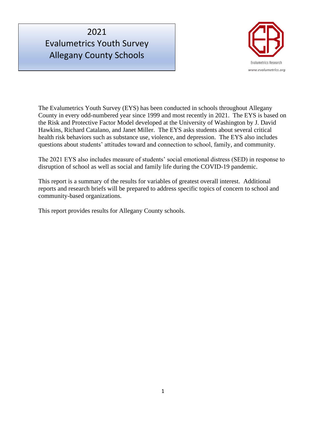

The Evalumetrics Youth Survey (EYS) has been conducted in schools throughout Allegany County in every odd-numbered year since 1999 and most recently in 2021. The EYS is based on the Risk and Protective Factor Model developed at the University of Washington by J. David Hawkins, Richard Catalano, and Janet Miller. The EYS asks students about several critical health risk behaviors such as substance use, violence, and depression. The EYS also includes questions about students' attitudes toward and connection to school, family, and community.

The 2021 EYS also includes measure of students' social emotional distress (SED) in response to disruption of school as well as social and family life during the COVID-19 pandemic.

This report is a summary of the results for variables of greatest overall interest. Additional reports and research briefs will be prepared to address specific topics of concern to school and community-based organizations.

This report provides results for Allegany County schools.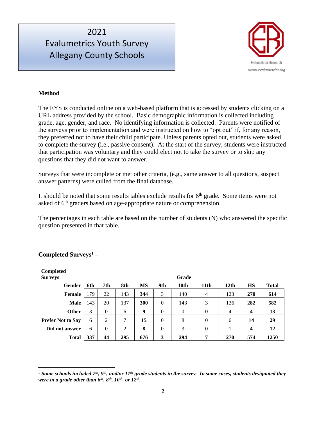

#### **Method**

The EYS is conducted online on a web-based platform that is accessed by students clicking on a URL address provided by the school. Basic demographic information is collected including grade, age, gender, and race. No identifying information is collected. Parents were notified of the surveys prior to implementation and were instructed on how to "opt out" if, for any reason, they preferred not to have their child participate. Unless parents opted out, students were asked to complete the survey (i.e., passive consent). At the start of the survey, students were instructed that participation was voluntary and they could elect not to take the survey or to skip any questions that they did not want to answer.

Surveys that were incomplete or met other criteria, (e.g., same answer to all questions, suspect answer patterns) were culled from the final database.

It should be noted that some results tables exclude results for  $6<sup>th</sup>$  grade. Some items were not asked of 6<sup>th</sup> graders based on age-appropriate nature or comprehension.

The percentages in each table are based on the number of students (N) who answered the specific question presented in that table.

| <b>Completed</b><br><b>Surveys</b> |     |                |     |           |                | Grade    |                |                  |                         |              |
|------------------------------------|-----|----------------|-----|-----------|----------------|----------|----------------|------------------|-------------------------|--------------|
| Gender                             | 6th | 7th            | 8th | <b>MS</b> | 9th            | 10th     | 11th           | 12 <sub>th</sub> | <b>HS</b>               | <b>Total</b> |
| <b>Female</b>                      | 179 | 22             | 143 | 344       | 3              | 140      | $\overline{4}$ | 123              | 270                     | 614          |
| <b>Male</b>                        | 143 | 20             | 137 | 300       | $\overline{0}$ | 143      | 3              | 136              | 282                     | 582          |
| <b>Other</b>                       | 3   | $\mathbf{0}$   | 6   | 9         | $\theta$       | $\theta$ | $\Omega$       | 4                | $\overline{\mathbf{4}}$ | 13           |
| <b>Prefer Not to Say</b>           | 6   | 2              | 7   | 15        | $\theta$       | 8        | $\mathbf{0}$   | 6                | 14                      | 29           |
| Did not answer                     | 6   | $\overline{0}$ | 2   | 8         | $\overline{0}$ | 3        | $\theta$       |                  | $\boldsymbol{4}$        | 12           |
| <b>Total</b>                       | 337 | 44             | 295 | 676       | 3              | 294      | 7              | 270              | 574                     | 1250         |

#### **Completed Surveys<sup>1</sup> –**

<sup>&</sup>lt;sup>1</sup> Some schools included 7<sup>th</sup>, 9<sup>th</sup>, and/or 11<sup>th</sup> grade students in the survey. In some cases, students designated they *were in a grade other than 6th, 8th, 10th, or 12th .*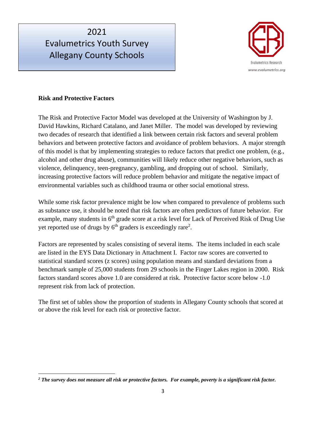

#### **Risk and Protective Factors**

The Risk and Protective Factor Model was developed at the University of Washington by J. David Hawkins, Richard Catalano, and Janet Miller. The model was developed by reviewing two decades of research that identified a link between certain risk factors and several problem behaviors and between protective factors and avoidance of problem behaviors. A major strength of this model is that by implementing strategies to reduce factors that predict one problem, (e.g., alcohol and other drug abuse), communities will likely reduce other negative behaviors, such as violence, delinquency, teen-pregnancy, gambling, and dropping out of school. Similarly, increasing protective factors will reduce problem behavior and mitigate the negative impact of environmental variables such as childhood trauma or other social emotional stress.

While some risk factor prevalence might be low when compared to prevalence of problems such as substance use, it should be noted that risk factors are often predictors of future behavior. For example, many students in 6<sup>th</sup> grade score at a risk level for Lack of Perceived Risk of Drug Use yet reported use of drugs by  $6<sup>th</sup>$  graders is exceedingly rare<sup>2</sup>.

Factors are represented by scales consisting of several items. The items included in each scale are listed in the EYS Data Dictionary in Attachment I. Factor raw scores are converted to statistical standard scores (z scores) using population means and standard deviations from a benchmark sample of 25,000 students from 29 schools in the Finger Lakes region in 2000. Risk factors standard scores above 1.0 are considered at risk. Protective factor score below -1.0 represent risk from lack of protection.

The first set of tables show the proportion of students in Allegany County schools that scored at or above the risk level for each risk or protective factor.

*<sup>2</sup> The survey does not measure all risk or protective factors. For example, poverty is a significant risk factor.*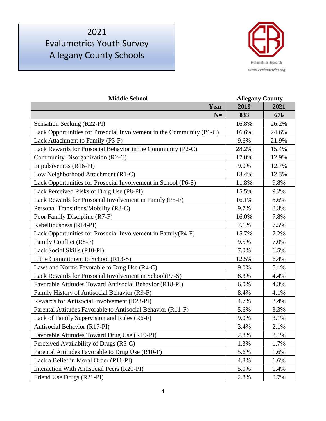

| <b>Middle School</b>                                                 | <b>Allegany County</b> |       |
|----------------------------------------------------------------------|------------------------|-------|
| Year                                                                 | 2019                   | 2021  |
| $N=$                                                                 | 833                    | 676   |
| Sensation Seeking (R22-PI)                                           | 16.8%                  | 26.2% |
| Lack Opportunities for Prosocial Involvement in the Community (P1-C) | 16.6%                  | 24.6% |
| Lack Attachment to Family (P3-F)                                     | 9.6%                   | 21.9% |
| Lack Rewards for Prosocial Behavior in the Community (P2-C)          | 28.2%                  | 15.4% |
| Community Disorganization (R2-C)                                     | 17.0%                  | 12.9% |
| Impulsiveness (R16-PI)                                               | 9.0%                   | 12.7% |
| Low Neighborhood Attachment (R1-C)                                   | 13.4%                  | 12.3% |
| Lack Opportunities for Prosocial Involvement in School (P6-S)        | 11.8%                  | 9.8%  |
| Lack Perceived Risks of Drug Use (P8-PI)                             | 15.5%                  | 9.2%  |
| Lack Rewards for Prosocial Involvement in Family (P5-F)              | 16.1%                  | 8.6%  |
| Personal Transitions/Mobility (R3-C)                                 | 9.7%                   | 8.3%  |
| Poor Family Discipline (R7-F)                                        | 16.0%                  | 7.8%  |
| Rebelliousness (R14-PI)                                              | 7.1%                   | 7.5%  |
| Lack Opportunities for Prosocial Involvement in Family(P4-F)         | 15.7%                  | 7.2%  |
| Family Conflict (R8-F)                                               | 9.5%                   | 7.0%  |
| Lack Social Skills (P10-PI)                                          | 7.0%                   | 6.5%  |
| Little Commitment to School (R13-S)                                  | 12.5%                  | 6.4%  |
| Laws and Norms Favorable to Drug Use (R4-C)                          | 9.0%                   | 5.1%  |
| Lack Rewards for Prosocial Involvement in School(P7-S)               | 8.3%                   | 4.4%  |
| Favorable Attitudes Toward Antisocial Behavior (R18-PI)              | 6.0%                   | 4.3%  |
| Family History of Antisocial Behavior (R9-F)                         | 8.4%                   | 4.1%  |
| Rewards for Antisocial Involvement (R23-PI)                          | 4.7%                   | 3.4%  |
| Parental Attitudes Favorable to Antisocial Behavior (R11-F)          | 5.6%                   | 3.3%  |
| Lack of Family Supervision and Rules (R6-F)                          | 9.0%                   | 3.1%  |
| Antisocial Behavior (R17-PI)                                         | 3.4%                   | 2.1%  |
| Favorable Attitudes Toward Drug Use (R19-PI)                         | 2.8%                   | 2.1%  |
| Perceived Availability of Drugs (R5-C)                               | 1.3%                   | 1.7%  |
| Parental Attitudes Favorable to Drug Use (R10-F)                     | 5.6%                   | 1.6%  |
| Lack a Belief in Moral Order (P11-PI)                                | 4.8%                   | 1.6%  |
| Interaction With Antisocial Peers (R20-PI)                           | 5.0%                   | 1.4%  |
| Friend Use Drugs (R21-PI)                                            | 2.8%                   | 0.7%  |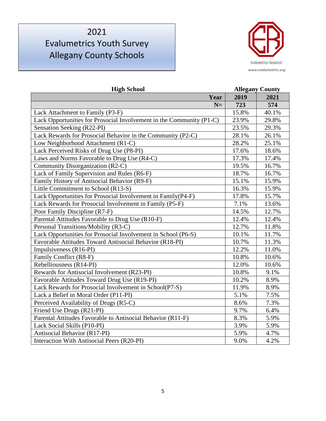

| <b>High School</b>                                                   | <b>Allegany County</b> |       |
|----------------------------------------------------------------------|------------------------|-------|
| Year                                                                 | 2019                   | 2021  |
| $N=$                                                                 | 723                    | 574   |
| Lack Attachment to Family (P3-F)                                     | 15.8%                  | 40.1% |
| Lack Opportunities for Prosocial Involvement in the Community (P1-C) | 23.9%                  | 29.8% |
| Sensation Seeking (R22-PI)                                           | 23.5%                  | 29.3% |
| Lack Rewards for Prosocial Behavior in the Community (P2-C)          | 28.1%                  | 26.1% |
| Low Neighborhood Attachment (R1-C)                                   | 28.2%                  | 25.1% |
| Lack Perceived Risks of Drug Use (P8-PI)                             | 17.6%                  | 18.6% |
| Laws and Norms Favorable to Drug Use (R4-C)                          | 17.3%                  | 17.4% |
| Community Disorganization (R2-C)                                     | 19.5%                  | 16.7% |
| Lack of Family Supervision and Rules (R6-F)                          | 18.7%                  | 16.7% |
| Family History of Antisocial Behavior (R9-F)                         | 15.1%                  | 15.9% |
| Little Commitment to School (R13-S)                                  | 16.3%                  | 15.9% |
| Lack Opportunities for Prosocial Involvement in Family(P4-F)         | 17.8%                  | 15.7% |
| Lack Rewards for Prosocial Involvement in Family (P5-F)              | 7.1%                   | 13.6% |
| Poor Family Discipline (R7-F)                                        | 14.5%                  | 12.7% |
| Parental Attitudes Favorable to Drug Use (R10-F)                     | 12.4%                  | 12.4% |
| Personal Transitions/Mobility (R3-C)                                 | 12.7%                  | 11.8% |
| Lack Opportunities for Prosocial Involvement in School (P6-S)        | 10.1%                  | 11.7% |
| Favorable Attitudes Toward Antisocial Behavior (R18-PI)              | 10.7%                  | 11.3% |
| Impulsiveness (R16-PI)                                               | 12.2%                  | 11.0% |
| Family Conflict (R8-F)                                               | 10.8%                  | 10.6% |
| Rebelliousness (R14-PI)                                              | 12.0%                  | 10.6% |
| Rewards for Antisocial Involvement (R23-PI)                          | 10.8%                  | 9.1%  |
| Favorable Attitudes Toward Drug Use (R19-PI)                         | 10.2%                  | 8.9%  |
| Lack Rewards for Prosocial Involvement in School(P7-S)               | 11.9%                  | 8.9%  |
| Lack a Belief in Moral Order (P11-PI)                                | 5.1%                   | 7.5%  |
| Perceived Availability of Drugs (R5-C)                               | 8.6%                   | 7.3%  |
| Friend Use Drugs (R21-PI)                                            | 9.7%                   | 6.4%  |
| Parental Attitudes Favorable to Antisocial Behavior (R11-F)          | 8.3%                   | 5.9%  |
| Lack Social Skills (P10-PI)                                          | 3.9%                   | 5.9%  |
| Antisocial Behavior (R17-PI)                                         | 5.9%                   | 4.7%  |
| Interaction With Antisocial Peers (R20-PI)                           | 9.0%                   | 4.2%  |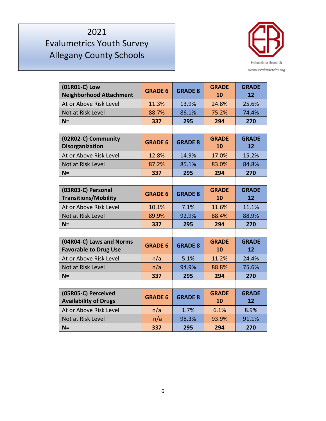

| (01R01-C) Low<br><b>Neighborhood Attachment</b>          | <b>GRADE 6</b> | <b>GRADE 8</b> | <b>GRADE</b><br>10 | <b>GRADE</b><br>12 |
|----------------------------------------------------------|----------------|----------------|--------------------|--------------------|
| At or Above Risk Level                                   | 11.3%          | 13.9%          | 24.8%              | 25.6%              |
| Not at Risk Level                                        | 88.7%          | 86.1%          | 75.2%              | 74.4%              |
| $N =$                                                    | 337            | 295            | 294                | 270                |
|                                                          |                |                |                    |                    |
| (02R02-C) Community<br><b>Disorganization</b>            | <b>GRADE 6</b> | <b>GRADE 8</b> | <b>GRADE</b><br>10 | <b>GRADE</b><br>12 |
| At or Above Risk Level                                   | 12.8%          | 14.9%          | 17.0%              | 15.2%              |
| Not at Risk Level                                        | 87.2%          | 85.1%          | 83.0%              | 84.8%              |
| $N =$                                                    | 337            | 295            | 294                | 270                |
|                                                          |                |                |                    |                    |
| (03R03-C) Personal<br><b>Transitions/Mobility</b>        | <b>GRADE 6</b> | <b>GRADE 8</b> | <b>GRADE</b><br>10 | <b>GRADE</b><br>12 |
| At or Above Risk Level                                   | 10.1%          | 7.1%           | 11.6%              | 11.1%              |
| Not at Risk Level                                        | 89.9%          | 92.9%          | 88.4%              | 88.9%              |
| $N =$                                                    | 337            | 295            | 294                | 270                |
|                                                          |                |                |                    |                    |
| (04R04-C) Laws and Norms<br><b>Favorable to Drug Use</b> | <b>GRADE 6</b> | <b>GRADE 8</b> | <b>GRADE</b><br>10 | <b>GRADE</b><br>12 |
| At or Above Risk Level                                   | n/a            | 5.1%           | 11.2%              | 24.4%              |
| Not at Risk Level                                        | n/a            | 94.9%          | 88.8%              | 75.6%              |
| $N =$                                                    | 337            | 295            | 294                | 270                |
|                                                          |                |                |                    |                    |
| (05R05-C) Perceived<br><b>Availability of Drugs</b>      | <b>GRADE 6</b> | <b>GRADE 8</b> | <b>GRADE</b><br>10 | <b>GRADE</b><br>12 |
| At or Above Risk Level                                   | n/a            | 1.7%           | 6.1%               | 8.9%               |
| Not at Risk Level                                        | n/a            | 98.3%          | 93.9%              | 91.1%              |
| $N =$                                                    | 337            | 295            | 294                | 270                |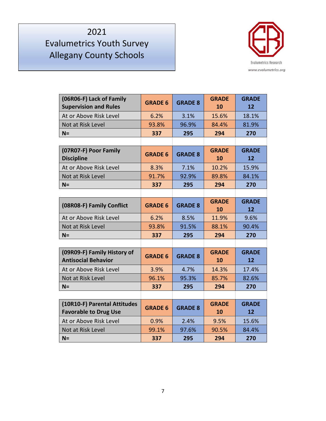

| (06R06-F) Lack of Family<br><b>Supervision and Rules</b>     | <b>GRADE 6</b> | <b>GRADE 8</b> | <b>GRADE</b><br>10 | <b>GRADE</b><br>12 |
|--------------------------------------------------------------|----------------|----------------|--------------------|--------------------|
| At or Above Risk Level                                       | 6.2%           | 3.1%           | 15.6%              | 18.1%              |
| Not at Risk Level                                            | 93.8%          | 96.9%          | 84.4%              | 81.9%              |
| $N =$                                                        | 337            | 295            | 294                | 270                |
|                                                              |                |                |                    |                    |
| (07R07-F) Poor Family<br><b>Discipline</b>                   | <b>GRADE 6</b> | <b>GRADE 8</b> | <b>GRADE</b><br>10 | <b>GRADE</b><br>12 |
| At or Above Risk Level                                       | 8.3%           | 7.1%           | 10.2%              | 15.9%              |
| Not at Risk Level                                            | 91.7%          | 92.9%          | 89.8%              | 84.1%              |
| $N =$                                                        | 337            | 295            | 294                | 270                |
|                                                              |                |                |                    |                    |
| (08R08-F) Family Conflict                                    | <b>GRADE 6</b> | <b>GRADE 8</b> | <b>GRADE</b><br>10 | <b>GRADE</b><br>12 |
| At or Above Risk Level                                       | 6.2%           | 8.5%           | 11.9%              | 9.6%               |
| Not at Risk Level                                            | 93.8%          | 91.5%          | 88.1%              | 90.4%              |
| $N =$                                                        | 337            | 295            | 294                | 270                |
|                                                              |                |                |                    |                    |
| (09R09-F) Family History of<br><b>Antisocial Behavior</b>    | <b>GRADE 6</b> | <b>GRADE 8</b> | <b>GRADE</b><br>10 | <b>GRADE</b><br>12 |
| At or Above Risk Level                                       | 3.9%           | 4.7%           | 14.3%              | 17.4%              |
| Not at Risk Level                                            | 96.1%          | 95.3%          | 85.7%              | 82.6%              |
| $N =$                                                        | 337            | 295            | 294                | 270                |
|                                                              |                |                |                    |                    |
| (10R10-F) Parental Attitudes<br><b>Favorable to Drug Use</b> | <b>GRADE 6</b> | <b>GRADE 8</b> | <b>GRADE</b><br>10 | <b>GRADE</b><br>12 |
| At or Above Risk Level                                       | 0.9%           | 2.4%           | 9.5%               | 15.6%              |
| Not at Risk Level                                            | 99.1%          | 97.6%          | 90.5%              | 84.4%              |
| $N =$                                                        | 337            | 295            | 294                | 270                |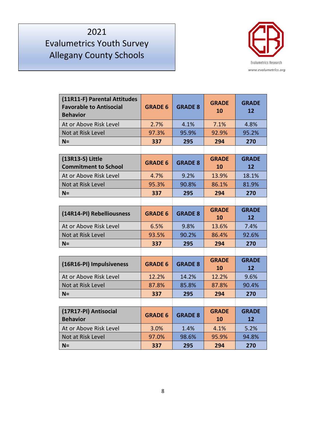

| (11R11-F) Parental Attitudes<br><b>Favorable to Antisocial</b><br><b>Behavior</b> | <b>GRADE 6</b> | <b>GRADE 8</b> | <b>GRADE</b><br>10 | <b>GRADE</b><br>12 |
|-----------------------------------------------------------------------------------|----------------|----------------|--------------------|--------------------|
| At or Above Risk Level                                                            | 2.7%           | 4.1%           | 7.1%               | 4.8%               |
| Not at Risk Level                                                                 | 97.3%          | 95.9%          | 92.9%              | 95.2%              |
| $N =$                                                                             | 337            | 295            | 294                | 270                |
|                                                                                   |                |                |                    |                    |
| (13R13-S) Little<br><b>Commitment to School</b>                                   | <b>GRADE 6</b> | <b>GRADE 8</b> | <b>GRADE</b><br>10 | <b>GRADE</b><br>12 |
| At or Above Risk Level                                                            | 4.7%           | 9.2%           | 13.9%              | 18.1%              |
| Not at Risk Level                                                                 | 95.3%          | 90.8%          | 86.1%              | 81.9%              |
| $N =$                                                                             | 337            | 295            | 294                | 270                |
|                                                                                   |                |                |                    |                    |
| (14R14-PI) Rebelliousness                                                         | <b>GRADE 6</b> | <b>GRADE 8</b> | <b>GRADE</b><br>10 | <b>GRADE</b><br>12 |
| At or Above Risk Level                                                            | 6.5%           | 9.8%           | 13.6%              | 7.4%               |
| Not at Risk Level                                                                 | 93.5%          | 90.2%          | 86.4%              | 92.6%              |
| $N =$                                                                             | 337            | 295            | 294                | 270                |
|                                                                                   |                |                |                    |                    |
| (16R16-PI) Impulsiveness                                                          | <b>GRADE 6</b> | <b>GRADE 8</b> | <b>GRADE</b><br>10 | <b>GRADE</b><br>12 |
| At or Above Risk Level                                                            | 12.2%          | 14.2%          | 12.2%              | 9.6%               |
| Not at Risk Level                                                                 | 87.8%          | 85.8%          | 87.8%              | 90.4%              |
| $N =$                                                                             | 337            | 295            | 294                | 270                |
|                                                                                   |                |                |                    |                    |
| (17R17-PI) Antisocial<br><b>Behavior</b>                                          | <b>GRADE 6</b> | <b>GRADE 8</b> | <b>GRADE</b><br>10 | <b>GRADE</b><br>12 |
| At or Above Risk Level                                                            | 3.0%           | 1.4%           | 4.1%               | 5.2%               |
| Not at Risk Level                                                                 | 97.0%          | 98.6%          | 95.9%              | 94.8%              |
| $N =$                                                                             | 337            | 295            | 294                | 270                |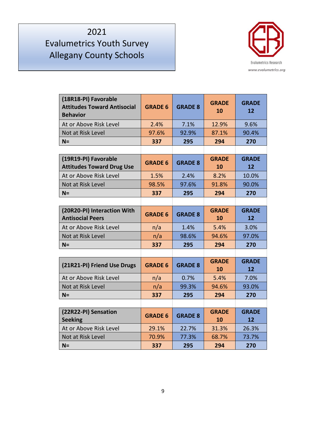# 2021 Evalumetrics Youth Survey

Allegany County Schools



| (18R18-PI) Favorable<br><b>Attitudes Toward Antisocial</b><br><b>Behavior</b> | <b>GRADE 6</b> | <b>GRADE 8</b> | <b>GRADE</b><br>10 | <b>GRADE</b><br>12 |
|-------------------------------------------------------------------------------|----------------|----------------|--------------------|--------------------|
| At or Above Risk Level                                                        | 2.4%           | 7.1%           | 12.9%              | 9.6%               |
| Not at Risk Level                                                             | 97.6%          | 92.9%          | 87.1%              | 90.4%              |
| $N =$                                                                         | 337            | 295            | 294                | 270                |
|                                                                               |                |                |                    |                    |
| (19R19-PI) Favorable<br><b>Attitudes Toward Drug Use</b>                      | <b>GRADE 6</b> | <b>GRADE 8</b> | <b>GRADE</b><br>10 | <b>GRADE</b><br>12 |
| At or Above Risk Level                                                        | 1.5%           | 2.4%           | 8.2%               | 10.0%              |
| Not at Risk Level                                                             | 98.5%          | 97.6%          | 91.8%              | 90.0%              |
| $N =$                                                                         | 337            | 295            | 294                | 270                |
|                                                                               |                |                |                    |                    |
| (20R20-PI) Interaction With<br><b>Antisocial Peers</b>                        | <b>GRADE 6</b> | <b>GRADE 8</b> | <b>GRADE</b><br>10 | <b>GRADE</b><br>12 |
| At or Above Risk Level                                                        | n/a            | 1.4%           | 5.4%               | 3.0%               |
| Not at Risk Level                                                             | n/a            | 98.6%          | 94.6%              | 97.0%              |
| $N =$                                                                         | 337            | 295            | 294                | 270                |
|                                                                               |                |                |                    |                    |
| (21R21-PI) Friend Use Drugs                                                   | <b>GRADE 6</b> | <b>GRADE 8</b> | <b>GRADE</b><br>10 | <b>GRADE</b><br>12 |
| At or Above Risk Level                                                        | n/a            | 0.7%           | 5.4%               | 7.0%               |
| Not at Risk Level                                                             | n/a            | 99.3%          | 94.6%              | 93.0%              |
| $N =$                                                                         | 337            | 295            | 294                | 270                |
|                                                                               |                |                |                    |                    |
| (22R22-PI) Sensation<br><b>Seeking</b>                                        | <b>GRADE 6</b> | <b>GRADE 8</b> | <b>GRADE</b><br>10 | <b>GRADE</b><br>12 |
| At or Above Risk Level                                                        | 29.1%          | 22.7%          | 31.3%              | 26.3%              |
| Not at Risk Level                                                             | 70.9%          | 77.3%          | 68.7%              | 73.7%              |
| $N =$                                                                         | 337            | 295            | 294                | 270                |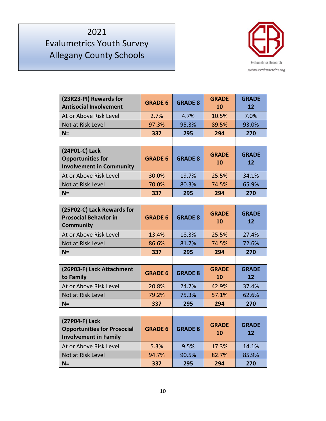

| (23R23-PI) Rewards for<br><b>Antisocial Involvement</b>                       | <b>GRADE 6</b> | <b>GRADE 8</b> | <b>GRADE</b><br><b>10</b> | <b>GRADE</b><br><b>12</b> |
|-------------------------------------------------------------------------------|----------------|----------------|---------------------------|---------------------------|
| At or Above Risk Level                                                        | 2.7%           | 4.7%           | 10.5%                     | 7.0%                      |
| Not at Risk Level                                                             | 97.3%          | 95.3%          | 89.5%                     | 93.0%                     |
| $N=$                                                                          | 337            | 295            | 294                       | 270                       |
|                                                                               |                |                |                           |                           |
|                                                                               |                |                |                           |                           |
| (24P01-C) Lack<br><b>Opportunities for</b><br><b>Involvement in Community</b> | <b>GRADE 6</b> | <b>GRADE 8</b> | <b>GRADE</b><br>10        | <b>GRADE</b><br>12        |
| At or Above Risk Level                                                        | 30.0%          | 19.7%          | 25.5%                     | 34.1%                     |
| Not at Risk Level                                                             | 70.0%          | 80.3%          | 74.5%                     | 65.9%                     |

| (25P02-C) Lack Rewards for<br><b>Prosocial Behavior in</b><br><b>Community</b>       | <b>GRADE 6</b> | <b>GRADE 8</b> | <b>GRADE</b><br>10 | <b>GRADE</b><br>12                |
|--------------------------------------------------------------------------------------|----------------|----------------|--------------------|-----------------------------------|
| At or Above Risk Level                                                               | 13.4%          | 18.3%          | 25.5%              | 27.4%                             |
| Not at Risk Level                                                                    | 86.6%          | 81.7%          | 74.5%              | 72.6%                             |
| $N =$                                                                                | 337            | 295            | 294                | 270                               |
|                                                                                      |                |                |                    |                                   |
| (26P03-F) Lack Attachment<br>to Family                                               | <b>GRADE 6</b> | <b>GRADE 8</b> | <b>GRADE</b><br>10 | <b>GRADE</b><br>12                |
| At or Above Risk Level                                                               | 20.8%          | 24.7%          | 42.9%              | 37.4%                             |
| Not at Risk Level                                                                    | 79.2%          | 75.3%          | 57.1%              | 62.6%                             |
| $N =$                                                                                | 337            | 295            | 294                | 270                               |
|                                                                                      |                |                |                    |                                   |
| (27P04-F) Lack<br><b>Opportunities for Prosocial</b><br><b>Involvement in Family</b> | <b>GRADE 6</b> | <b>GRADE 8</b> | <b>GRADE</b><br>10 | <b>GRADE</b><br>$12 \overline{ }$ |
| At or Above Risk Level                                                               | 5.3%           | 9.5%           | 17.3%              | 14.1%                             |
| Not at Risk Level                                                                    | 94.7%          | 90.5%          | 82.7%              | 85.9%                             |
| $N =$                                                                                | 337            | 295            | 294                | 270                               |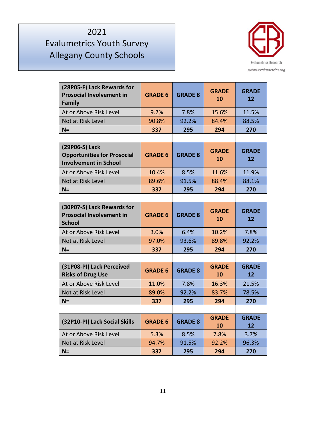

| (28P05-F) Lack Rewards for<br><b>Prosocial Involvement in</b><br>Family              | <b>GRADE 6</b> | <b>GRADE 8</b> | <b>GRADE</b><br>10 | <b>GRADE</b><br>12                |
|--------------------------------------------------------------------------------------|----------------|----------------|--------------------|-----------------------------------|
| At or Above Risk Level                                                               | 9.2%           | 7.8%           | 15.6%              | 11.5%                             |
| Not at Risk Level                                                                    | 90.8%          | 92.2%          | 84.4%              | 88.5%                             |
| $N =$                                                                                | 337            | 295            | 294                | 270                               |
|                                                                                      |                |                |                    |                                   |
| (29P06-S) Lack<br><b>Opportunities for Prosocial</b><br><b>Involvement in School</b> | <b>GRADE 6</b> | <b>GRADE 8</b> | <b>GRADE</b><br>10 | <b>GRADE</b><br>$12 \overline{ }$ |
| At or Above Risk Level                                                               | 10.4%          | 8.5%           | 11.6%              | 11.9%                             |
| Not at Risk Level                                                                    | 89.6%          | 91.5%          | 88.4%              | 88.1%                             |
| $N =$                                                                                | 337            | 295            | 294                | 270                               |
|                                                                                      |                |                |                    |                                   |
| (30P07-S) Lack Rewards for<br><b>Prosocial Involvement in</b><br><b>School</b>       | <b>GRADE 6</b> | <b>GRADE 8</b> | <b>GRADE</b><br>10 | <b>GRADE</b><br>12                |
| At or Above Risk Level                                                               | 3.0%           | 6.4%           | 10.2%              | 7.8%                              |
| Not at Risk Level                                                                    | 97.0%          | 93.6%          | 89.8%              | 92.2%                             |
| $N =$                                                                                | 337            | 295            | 294                | 270                               |
|                                                                                      |                |                |                    |                                   |
| (31P08-PI) Lack Perceived<br><b>Risks of Drug Use</b>                                | <b>GRADE 6</b> | <b>GRADE 8</b> | <b>GRADE</b><br>10 | <b>GRADE</b><br>12                |
| At or Above Risk Level                                                               | 11.0%          | 7.8%           | 16.3%              | 21.5%                             |
| Not at Risk Level                                                                    | 89.0%          | 92.2%          | 83.7%              | 78.5%                             |
| $N =$                                                                                | 337            | 295            | 294                | 270                               |
|                                                                                      |                |                |                    |                                   |
| (32P10-PI) Lack Social Skills                                                        | <b>GRADE 6</b> | <b>GRADE 8</b> | <b>GRADE</b><br>10 | <b>GRADE</b><br>12                |
| At or Above Risk Level                                                               | 5.3%           | 8.5%           | 7.8%               | 3.7%                              |
| Not at Risk Level                                                                    | 94.7%          | 91.5%          | 92.2%              | 96.3%                             |
| $N =$                                                                                | 337            | 295            | 294                | 270                               |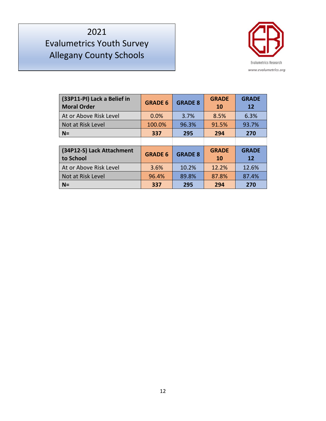

| (33P11-PI) Lack a Belief in<br><b>Moral Order</b> | <b>GRADE 6</b> | <b>GRADE 8</b> | <b>GRADE</b><br>10 | <b>GRADE</b><br>12 |
|---------------------------------------------------|----------------|----------------|--------------------|--------------------|
| At or Above Risk Level                            | $0.0\%$        | 3.7%           | 8.5%               | 6.3%               |
| Not at Risk Level                                 | 100.0%         | 96.3%          | 91.5%              | 93.7%              |
| $N=$                                              | 337            | 295            | 294                | 270                |
|                                                   |                |                |                    |                    |
| (34P12-S) Lack Attachment<br>to School            | <b>GRADE 6</b> | <b>GRADE 8</b> | <b>GRADE</b><br>10 | <b>GRADE</b><br>12 |
| At or Above Risk Level                            | 3.6%           | 10.2%          | 12.2%              | 12.6%              |
| Not at Risk Level                                 | 96.4%          | 89.8%          | 87.8%              | 87.4%              |
| $N =$                                             | 337            | 295            | 294                | 270                |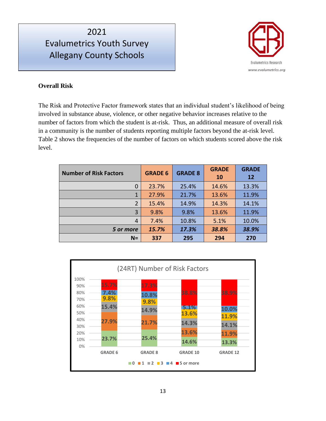

#### **Overall Risk**

The Risk and Protective Factor framework states that an individual student's likelihood of being involved in substance abuse, violence, or other negative behavior increases relative to the number of factors from which the student is at-risk. Thus, an additional measure of overall risk in a community is the number of students reporting multiple factors beyond the at-risk level. Table 2 shows the frequencies of the number of factors on which students scored above the risk level.

| <b>Number of Risk Factors</b> | <b>GRADE 6</b> | <b>GRADE 8</b> | <b>GRADE</b><br><b>10</b> | <b>GRADE</b><br><b>12</b> |
|-------------------------------|----------------|----------------|---------------------------|---------------------------|
| 0                             | 23.7%          | 25.4%          | 14.6%                     | 13.3%                     |
| 1                             | 27.9%          | 21.7%          | 13.6%                     | 11.9%                     |
| 2                             | 15.4%          | 14.9%          | 14.3%                     | 14.1%                     |
| 3                             | 9.8%           | 9.8%           | 13.6%                     | 11.9%                     |
| 4                             | 7.4%           | 10.8%          | 5.1%                      | 10.0%                     |
| 5 or more                     | 15.7%          | 17.3%          | 38.8%                     | 38.9%                     |
| $N=$                          | 337            | 295            | 294                       | 270                       |

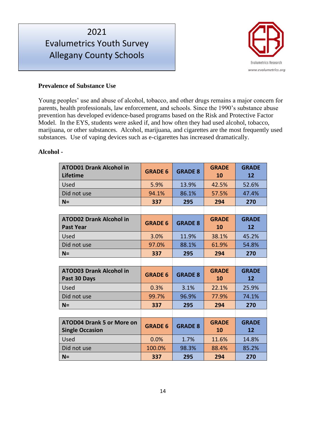# Evalumetrics Youth Survey Allegany County Schools



#### **Prevalence of Substance Use**

Young peoples' use and abuse of alcohol, tobacco, and other drugs remains a major concern for parents, health professionals, law enforcement, and schools. Since the 1990's substance abuse prevention has developed evidence-based programs based on the Risk and Protective Factor Model. In the EYS, students were asked if, and how often they had used alcohol, tobacco, marijuana, or other substances. Alcohol, marijuana, and cigarettes are the most frequently used substances. Use of vaping devices such as e-cigarettes has increased dramatically.

#### **Alcohol -**

| <b>ATOD01 Drank Alcohol in</b><br>Lifetime                 | <b>GRADE 6</b> | <b>GRADE 8</b> | <b>GRADE</b><br>10 | <b>GRADE</b><br>12 |
|------------------------------------------------------------|----------------|----------------|--------------------|--------------------|
| Used                                                       | 5.9%           | 13.9%          | 42.5%              | 52.6%              |
| Did not use                                                | 94.1%          | 86.1%          | 57.5%              | 47.4%              |
| $N =$                                                      | 337            | 295            | 294                | 270                |
|                                                            |                |                |                    |                    |
| <b>ATOD02 Drank Alcohol in</b><br><b>Past Year</b>         | <b>GRADE 6</b> | <b>GRADE 8</b> | <b>GRADE</b><br>10 | <b>GRADE</b><br>12 |
| Used                                                       | 3.0%           | 11.9%          | 38.1%              | 45.2%              |
| Did not use                                                | 97.0%          | 88.1%          | 61.9%              | 54.8%              |
| $N =$                                                      | 337            | 295            | 294                | 270                |
|                                                            |                |                |                    |                    |
| <b>ATOD03 Drank Alcohol in</b><br>Past 30 Days             | <b>GRADE 6</b> | <b>GRADE 8</b> | <b>GRADE</b><br>10 | <b>GRADE</b><br>12 |
| Used                                                       | 0.3%           | 3.1%           | 22.1%              | 25.9%              |
| Did not use                                                | 99.7%          | 96.9%          | 77.9%              | 74.1%              |
| $N =$                                                      | 337            | 295            | 294                | 270                |
|                                                            |                |                |                    |                    |
| <b>ATOD04 Drank 5 or More on</b><br><b>Single Occasion</b> | <b>GRADE 6</b> | <b>GRADE 8</b> | <b>GRADE</b><br>10 | <b>GRADE</b><br>12 |
| Used                                                       | 0.0%           | 1.7%           | 11.6%              | 14.8%              |
| Did not use                                                | 100.0%         | 98.3%          | 88.4%              | 85.2%              |
| $N =$                                                      | 337            | 295            | 294                | 270                |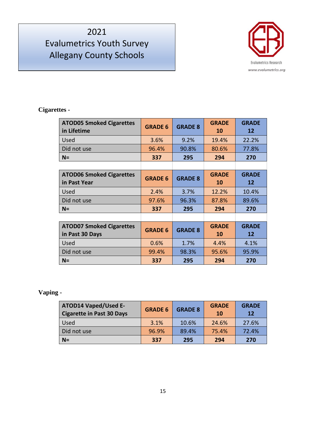# Evalumetrics Youth Survey Allegany County Schools



### **Cigarettes -**

| <b>ATOD05 Smoked Cigarettes</b><br>in Lifetime     | <b>GRADE 6</b> | <b>GRADE 8</b> | <b>GRADE</b><br><b>10</b> | <b>GRADE</b><br>12 |
|----------------------------------------------------|----------------|----------------|---------------------------|--------------------|
| Used                                               | 3.6%           | 9.2%           | 19.4%                     | 22.2%              |
| Did not use                                        | 96.4%          | 90.8%          | 80.6%                     | 77.8%              |
| $N =$                                              | 337            | 295            | 294                       | 270                |
|                                                    |                |                |                           |                    |
| <b>ATOD06 Smoked Cigarettes</b><br>in Past Year    | <b>GRADE 6</b> | <b>GRADE 8</b> | <b>GRADE</b><br><b>10</b> | <b>GRADE</b><br>12 |
| Used                                               | 2.4%           | 3.7%           | 12.2%                     | 10.4%              |
| Did not use                                        | 97.6%          | 96.3%          | 87.8%                     | 89.6%              |
| $N =$                                              | 337            | 295            | 294                       | 270                |
|                                                    |                |                |                           |                    |
| <b>ATOD07 Smoked Cigarettes</b><br>in Past 30 Days | <b>GRADE 6</b> | <b>GRADE 8</b> | <b>GRADE</b><br>10        | <b>GRADE</b><br>12 |
| Used                                               | 0.6%           | 1.7%           | 4.4%                      | 4.1%               |
| Did not use                                        | 99.4%          | 98.3%          | 95.6%                     | 95.9%              |
| $N =$                                              | 337            | 295            | 294                       | 270                |

#### **Vaping -**

| <b>ATOD14 Vaped/Used E-</b><br><b>Cigarette in Past 30 Days</b> | <b>GRADE 6</b> | <b>GRADE 8</b> | <b>GRADE</b><br><b>10</b> | <b>GRADE</b><br><b>12</b> |
|-----------------------------------------------------------------|----------------|----------------|---------------------------|---------------------------|
| Used                                                            | 3.1%           | 10.6%          | 24.6%                     | 27.6%                     |
| Did not use                                                     | 96.9%          | 89.4%          | 75.4%                     | 72.4%                     |
| $N =$                                                           | 337            | 295            | 294                       | 270                       |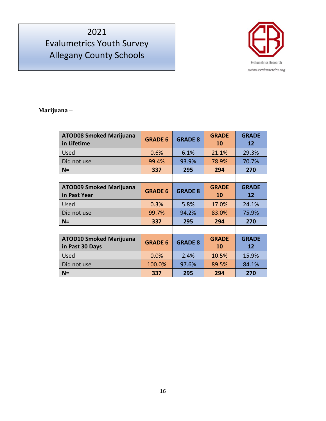# Evalumetrics Youth Survey Allegany County Schools



#### **Marijuana –**

| <b>ATOD08 Smoked Marijuana</b><br>in Lifetime     | <b>GRADE 6</b> | <b>GRADE 8</b> | <b>GRADE</b><br>10        | <b>GRADE</b><br>12 |
|---------------------------------------------------|----------------|----------------|---------------------------|--------------------|
| Used                                              | 0.6%           | 6.1%           | 21.1%                     | 29.3%              |
| Did not use                                       | 99.4%          | 93.9%          | 78.9%                     | 70.7%              |
| $N =$                                             | 337            | 295            | 294                       | 270                |
|                                                   |                |                |                           |                    |
| <b>ATOD09 Smoked Marijuana</b><br>in Past Year    | <b>GRADE 6</b> | <b>GRADE 8</b> | <b>GRADE</b><br><b>10</b> | <b>GRADE</b><br>12 |
| Used                                              | 0.3%           | 5.8%           | 17.0%                     | 24.1%              |
| Did not use                                       | 99.7%          | 94.2%          | 83.0%                     | 75.9%              |
| $N =$                                             | 337            | 295            | 294                       | 270                |
|                                                   |                |                |                           |                    |
| <b>ATOD10 Smoked Marijuana</b><br>in Past 30 Days | <b>GRADE 6</b> | <b>GRADE 8</b> | <b>GRADE</b><br><b>10</b> | <b>GRADE</b><br>12 |
| Used                                              | 0.0%           | 2.4%           | 10.5%                     | 15.9%              |
| Did not use                                       | 100.0%         | 97.6%          | 89.5%                     | 84.1%              |
| $N =$                                             | 337            | 295            | 294                       | 270                |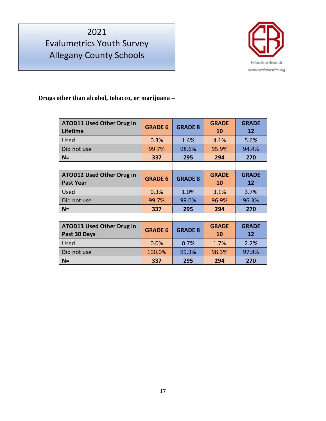# Evalumetrics Youth Survey Allegany County Schools



**Drugs other than alcohol, tobacco, or marijuana –**

| <b>ATOD11 Used Other Drug in</b><br>Lifetime         | <b>GRADE 6</b> | <b>GRADE 8</b> | <b>GRADE</b><br>10 | <b>GRADE</b><br>12 |
|------------------------------------------------------|----------------|----------------|--------------------|--------------------|
| Used                                                 | 0.3%           | 1.4%           | 4.1%               | 5.6%               |
| Did not use                                          | 99.7%          | 98.6%          | 95.9%              | 94.4%              |
| $N =$                                                | 337            | 295            | 294                | 270                |
|                                                      |                |                |                    |                    |
| <b>ATOD12 Used Other Drug in</b><br><b>Past Year</b> | <b>GRADE 6</b> | <b>GRADE 8</b> | <b>GRADE</b><br>10 | <b>GRADE</b><br>12 |
| Used                                                 | 0.3%           | 1.0%           | 3.1%               | 3.7%               |
| Did not use                                          | 99.7%          | 99.0%          | 96.9%              | 96.3%              |
| $N =$                                                | 337            | 295            | 294                | 270                |
|                                                      |                |                |                    |                    |
| <b>ATOD13 Used Other Drug in</b><br>Past 30 Days     | <b>GRADE 6</b> | <b>GRADE 8</b> | <b>GRADE</b><br>10 | <b>GRADE</b><br>12 |
| Used                                                 | 0.0%           | 0.7%           | 1.7%               | 2.2%               |
| Did not use                                          | 100.0%         | 99.3%          | 98.3%              | 97.8%              |
| $N =$                                                | 337            | 295            | 294                | 270                |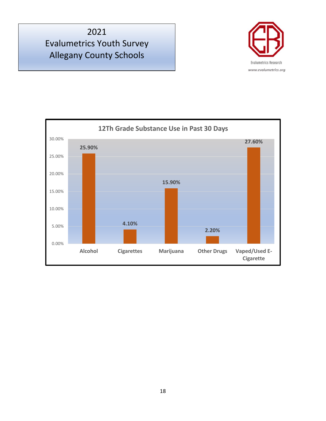

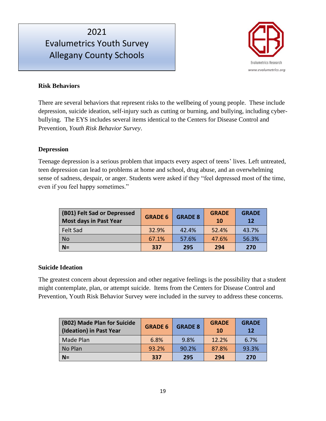

#### **Risk Behaviors**

There are several behaviors that represent risks to the wellbeing of young people. These include depression, suicide ideation, self-injury such as cutting or burning, and bullying, including cyberbullying. The EYS includes several items identical to the Centers for Disease Control and Prevention, *Youth Risk Behavior Survey*.

#### **Depression**

Teenage depression is a serious problem that impacts every aspect of teens' lives. Left untreated, teen depression can lead to problems at home and school, drug abuse, and an overwhelming sense of sadness, despair, or anger. Students were asked if they "feel depressed most of the time, even if you feel happy sometimes."

| (B01) Felt Sad or Depressed<br><b>Most days in Past Year</b> | <b>GRADE 6</b> | <b>GRADE 8</b> | <b>GRADE</b><br><b>10</b> | <b>GRADE</b><br><b>12</b> |
|--------------------------------------------------------------|----------------|----------------|---------------------------|---------------------------|
| <b>Felt Sad</b>                                              | 32.9%          | 42.4%          | 52.4%                     | 43.7%                     |
| <b>No</b>                                                    | 67.1%          | 57.6%          | 47.6%                     | 56.3%                     |
| $N=$                                                         | 337            | 295            | 294                       | 270                       |

#### **Suicide Ideation**

The greatest concern about depression and other negative feelings is the possibility that a student might contemplate, plan, or attempt suicide. Items from the Centers for Disease Control and Prevention, Youth Risk Behavior Survey were included in the survey to address these concerns.

| (B02) Made Plan for Suicide<br>(Ideation) in Past Year | <b>GRADE 6</b> | <b>GRADE 8</b> | <b>GRADE</b><br><b>10</b> | <b>GRADE</b><br><b>12</b> |
|--------------------------------------------------------|----------------|----------------|---------------------------|---------------------------|
| Made Plan                                              | 6.8%           | 9.8%           | 12.2%                     | 6.7%                      |
| No Plan                                                | 93.2%          | 90.2%          | 87.8%                     | 93.3%                     |
| $N=$                                                   | 337            | 295            | 294                       | 270                       |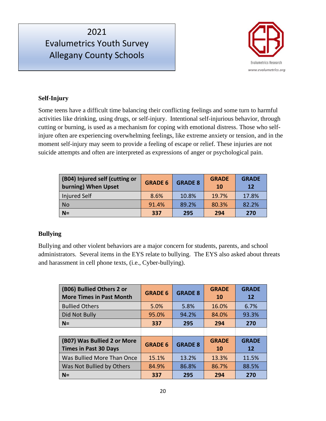

#### **Self-Injury**

Some teens have a difficult time balancing their conflicting feelings and some turn to harmful activities like drinking, using drugs, or self-injury. Intentional self-injurious behavior, through cutting or burning, is used as a mechanism for coping with emotional distress. Those who selfinjure often are experiencing overwhelming feelings, like extreme anxiety or tension, and in the moment self-injury may seem to provide a feeling of escape or relief. These injuries are not suicide attempts and often are interpreted as expressions of anger or psychological pain.

| (B04) Injured self (cutting or<br>burning) When Upset | <b>GRADE 6</b> | <b>GRADE 8</b> | <b>GRADE</b><br><b>10</b> | <b>GRADE</b><br><b>12</b> |
|-------------------------------------------------------|----------------|----------------|---------------------------|---------------------------|
| <b>Injured Self</b>                                   | 8.6%           | 10.8%          | 19.7%                     | 17.8%                     |
| <b>No</b>                                             | 91.4%          | 89.2%          | 80.3%                     | 82.2%                     |
| $N=$                                                  | 337            | 295            | 294                       | 270                       |

#### **Bullying**

Bullying and other violent behaviors are a major concern for students, parents, and school administrators. Several items in the EYS relate to bullying. The EYS also asked about threats and harassment in cell phone texts, (i.e., Cyber-bullying).

| (B06) Bullied Others 2 or<br><b>More Times in Past Month</b> | <b>GRADE 6</b> | <b>GRADE 8</b> | <b>GRADE</b><br><b>10</b> | <b>GRADE</b><br>12 |
|--------------------------------------------------------------|----------------|----------------|---------------------------|--------------------|
| <b>Bullied Others</b>                                        | 5.0%           | 5.8%           | 16.0%                     | 6.7%               |
| Did Not Bully                                                | 95.0%          | 94.2%          | 84.0%                     | 93.3%              |
| $N=$                                                         | 337            | 295            | 294                       | 270                |
|                                                              |                |                |                           |                    |
| (B07) Was Bullied 2 or More<br><b>Times in Past 30 Days</b>  | <b>GRADE 6</b> | <b>GRADE 8</b> | <b>GRADE</b><br><b>10</b> | <b>GRADE</b><br>12 |
| Was Bullied More Than Once                                   | 15.1%          | 13.2%          | 13.3%                     | 11.5%              |
| Was Not Bullied by Others                                    | 84.9%          | 86.8%          | 86.7%                     | 88.5%              |
| $N =$                                                        | 337            | 295            | 294                       | 270                |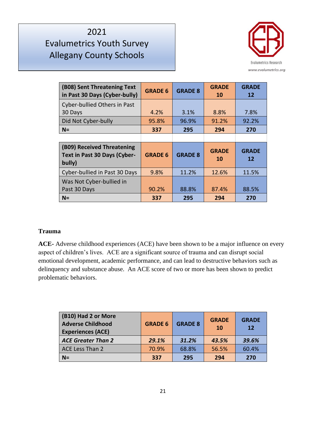# Evalumetrics Youth Survey Allegany County Schools



| (B08) Sent Threatening Text<br>in Past 30 Days (Cyber-bully)         | <b>GRADE 6</b> | <b>GRADE 8</b> | <b>GRADE</b><br>10 | <b>GRADE</b><br>12 |
|----------------------------------------------------------------------|----------------|----------------|--------------------|--------------------|
| Cyber-bullied Others in Past<br>30 Days                              | 4.2%           | 3.1%           | 8.8%               | 7.8%               |
| Did Not Cyber-bully                                                  | 95.8%          | 96.9%          | 91.2%              | 92.2%              |
| $N =$                                                                | 337            | 295            | 294                | 270                |
|                                                                      |                |                |                    |                    |
| (B09) Received Threatening<br>Text in Past 30 Days (Cyber-<br>bully) | <b>GRADE 6</b> | <b>GRADE 8</b> | <b>GRADE</b><br>10 | <b>GRADE</b><br>12 |
| Cyber-bullied in Past 30 Days                                        | 9.8%           | 11.2%          | 12.6%              | 11.5%              |
| Was Not Cyber-bullied in<br>Past 30 Days                             | 90.2%          | 88.8%          | 87.4%              | 88.5%              |
| $N =$                                                                |                |                |                    |                    |

#### **Trauma**

**ACE-** Adverse childhood experiences (ACE) have been shown to be a major influence on every aspect of children's lives. ACE are a significant source of trauma and can disrupt social emotional development, academic performance, and can lead to destructive behaviors such as delinquency and substance abuse. An ACE score of two or more has been shown to predict problematic behaviors.

| (B10) Had 2 or More<br><b>Adverse Childhood</b><br><b>Experiences (ACE)</b> | <b>GRADE 6</b> | <b>GRADE 8</b> | <b>GRADE</b><br><b>10</b> | <b>GRADE</b><br>12 |
|-----------------------------------------------------------------------------|----------------|----------------|---------------------------|--------------------|
| <b>ACE Greater Than 2</b>                                                   | 29.1%          | 31.2%          | 43.5%                     | 39.6%              |
| ACE Less Than 2                                                             | 70.9%          | 68.8%          | 56.5%                     | 60.4%              |
| $N =$                                                                       | 337            | 295            | 294                       | 270                |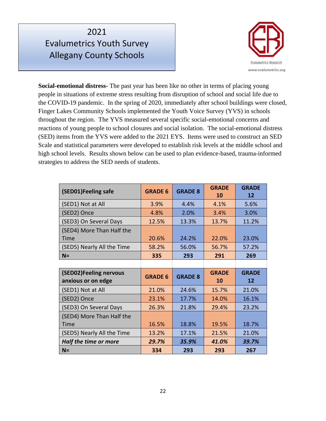

**Social-emotional distress-** The past year has been like no other in terms of placing young people in situations of extreme stress resulting from disruption of school and social life due to the COVID-19 pandemic. In the spring of 2020, immediately after school buildings were closed, Finger Lakes Community Schools implemented the Youth Voice Survey (YVS) in schools throughout the region. The YVS measured several specific social-emotional concerns and reactions of young people to school closures and social isolation. The social-emotional distress (SED) items from the YVS were added to the 2021 EYS. Items were used to construct an SED Scale and statistical parameters were developed to establish risk levels at the middle school and high school levels. Results shown below can be used to plan evidence-based, trauma-informed strategies to address the SED needs of students.

| (SED01)Feeling safe                          | <b>GRADE 6</b> | <b>GRADE 8</b> | <b>GRADE</b><br>10 | <b>GRADE</b><br>12 |
|----------------------------------------------|----------------|----------------|--------------------|--------------------|
| (SED1) Not at All                            | 3.9%           | 4.4%           | 4.1%               | 5.6%               |
| (SED2) Once                                  | 4.8%           | 2.0%           | 3.4%               | 3.0%               |
| (SED3) On Several Days                       | 12.5%          | 13.3%          | 13.7%              | 11.2%              |
| (SED4) More Than Half the<br><b>Time</b>     | 20.6%          | 24.2%          | 22.0%              | 23.0%              |
| (SED5) Nearly All the Time                   | 58.2%          | 56.0%          | 56.7%              | 57.2%              |
| $N =$                                        | 335            | 293            | 291                | 269                |
|                                              |                |                |                    |                    |
|                                              |                |                |                    |                    |
| (SED02)Feeling nervous<br>anxious or on edge | <b>GRADE 6</b> | <b>GRADE 8</b> | <b>GRADE</b><br>10 | <b>GRADE</b><br>12 |
| (SED1) Not at All                            | 21.0%          | 24.6%          | 15.7%              | 21.0%              |
| (SED2) Once                                  | 23.1%          | 17.7%          | 14.0%              | 16.1%              |
| (SED3) On Several Days                       | 26.3%          | 21.8%          | 29.4%              | 23.2%              |
| (SED4) More Than Half the<br>Time            | 16.5%          | 18.8%          | 19.5%              | 18.7%              |
| (SED5) Nearly All the Time                   | 13.2%          | 17.1%          | 21.5%              | 21.0%              |
| Half the time or more                        | 29.7%          | 35.9%          | 41.0%              | 39.7%              |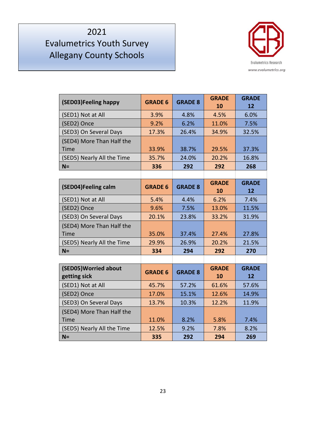

| (SED03)Feeling happy                  | <b>GRADE 6</b> | <b>GRADE 8</b> | <b>GRADE</b><br>10 | <b>GRADE</b><br>12 |
|---------------------------------------|----------------|----------------|--------------------|--------------------|
| (SED1) Not at All                     | 3.9%           | 4.8%           | 4.5%               | 6.0%               |
| (SED2) Once                           | 9.2%           | 6.2%           | 11.0%              | 7.5%               |
| (SED3) On Several Days                | 17.3%          | 26.4%          | 34.9%              | 32.5%              |
| (SED4) More Than Half the             |                |                |                    |                    |
| Time                                  | 33.9%          | 38.7%          | 29.5%              | 37.3%              |
| (SED5) Nearly All the Time            | 35.7%          | 24.0%          | 20.2%              | 16.8%              |
| $N =$                                 | 336            | 292            | 292                | 268                |
|                                       |                |                |                    |                    |
| (SED04)Feeling calm                   | <b>GRADE 6</b> | <b>GRADE 8</b> | <b>GRADE</b>       | <b>GRADE</b>       |
|                                       |                |                | 10                 | 12                 |
| (SED1) Not at All                     | 5.4%           | 4.4%           | 6.2%               | 7.4%               |
| (SED2) Once                           | 9.6%           | 7.5%           | 13.0%              | 11.5%              |
| (SED3) On Several Days                | 20.1%          | 23.8%          | 33.2%              | 31.9%              |
| (SED4) More Than Half the             |                |                |                    |                    |
| <b>Time</b>                           | 35.0%          | 37.4%          | 27.4%              | 27.8%              |
| (SED5) Nearly All the Time            | 29.9%          | 26.9%          | 20.2%              | 21.5%              |
| $N =$                                 | 334            | 294            | 292                | 270                |
|                                       |                |                |                    |                    |
| (SED05) Worried about<br>getting sick | <b>GRADE 6</b> | <b>GRADE 8</b> | <b>GRADE</b><br>10 | <b>GRADE</b><br>12 |
| (SED1) Not at All                     | 45.7%          | 57.2%          | 61.6%              | 57.6%              |
| (SED2) Once                           | 17.0%          | 15.1%          | 12.6%              | 14.9%              |
| (SED3) On Several Days                | 13.7%          | 10.3%          | 12.2%              | 11.9%              |
| (SED4) More Than Half the             |                |                |                    |                    |
| Time                                  | 11.0%          | 8.2%           | 5.8%               | 7.4%               |
| (SED5) Nearly All the Time            | 12.5%          | 9.2%           | 7.8%               | 8.2%               |
| $N =$                                 | 335            | 292            | 294                | 269                |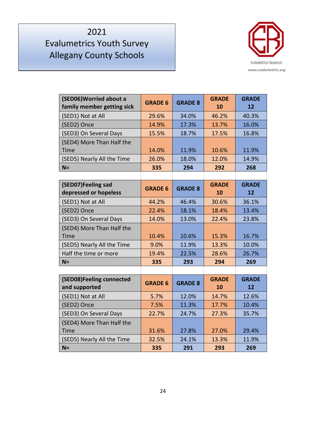

| (SED06) Worried about a<br>family member getting sick | <b>GRADE 6</b> | <b>GRADE 8</b> | <b>GRADE</b><br>10 | <b>GRADE</b><br>12 |
|-------------------------------------------------------|----------------|----------------|--------------------|--------------------|
| (SED1) Not at All                                     | 29.6%          | 34.0%          | 46.2%              | 40.3%              |
| (SED2) Once                                           | 14.9%          | 17.3%          | 13.7%              | 16.0%              |
| (SED3) On Several Days                                | 15.5%          | 18.7%          | 17.5%              | 16.8%              |
| (SED4) More Than Half the                             |                |                |                    |                    |
| <b>Time</b>                                           | 14.0%          | 11.9%          | 10.6%              | 11.9%              |
| (SED5) Nearly All the Time                            | 26.0%          | 18.0%          | 12.0%              | 14.9%              |
| $N =$                                                 | 335            | 294            | 292                | 268                |
|                                                       |                |                |                    |                    |
| (SED07)Feeling sad<br>depressed or hopeless           | <b>GRADE 6</b> | <b>GRADE 8</b> | <b>GRADE</b><br>10 | <b>GRADE</b><br>12 |
| (SED1) Not at All                                     | 44.2%          | 46.4%          | 30.6%              | 36.1%              |
| (SED2) Once                                           | 22.4%          | 18.1%          | 18.4%              | 13.4%              |
| (SED3) On Several Days                                | 14.0%          | 13.0%          | 22.4%              | 23.8%              |
| (SED4) More Than Half the                             |                |                |                    |                    |
| Time                                                  | 10.4%          | 10.6%          | 15.3%              | 16.7%              |
| (SED5) Nearly All the Time                            | 9.0%           | 11.9%          | 13.3%              | 10.0%              |
| Half the time or more                                 | 19.4%          | 22.5%          | 28.6%              | 26.7%              |
| $N =$                                                 | 335            | 293            | 294                | 269                |
|                                                       |                |                |                    |                    |
| (SED08)Feeling connected<br>and supported             | <b>GRADE 6</b> | <b>GRADE 8</b> | <b>GRADE</b><br>10 | <b>GRADE</b><br>12 |
| (SED1) Not at All                                     | 5.7%           | 12.0%          | 14.7%              | 12.6%              |
| (SED2) Once                                           | 7.5%           | 11.3%          | 17.7%              | 10.4%              |
| (SED3) On Several Days                                | 22.7%          | 24.7%          | 27.3%              | 35.7%              |
| (SED4) More Than Half the                             |                |                |                    |                    |
| <b>Time</b>                                           | 31.6%          | 27.8%          | 27.0%              | 29.4%              |
| (SED5) Nearly All the Time                            | 32.5%          | 24.1%          | 13.3%              | 11.9%              |
| $N =$                                                 | 335            | 291            | 293                | 269                |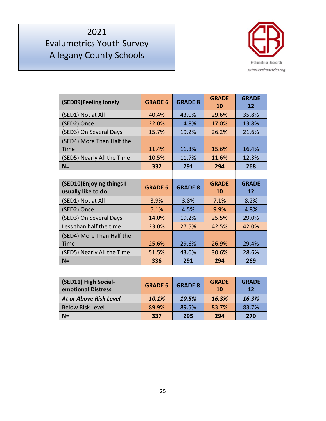

| (SED09)Feeling lonely                           | <b>GRADE 6</b> | <b>GRADE 8</b> | <b>GRADE</b><br>10 | <b>GRADE</b><br>12 |
|-------------------------------------------------|----------------|----------------|--------------------|--------------------|
| (SED1) Not at All                               | 40.4%          | 43.0%          | 29.6%              | 35.8%              |
| (SED2) Once                                     | 22.0%          | 14.8%          | 17.0%              | 13.8%              |
| (SED3) On Several Days                          | 15.7%          | 19.2%          | 26.2%              | 21.6%              |
| (SED4) More Than Half the<br>Time               | 11.4%          | 11.3%          | 15.6%              | 16.4%              |
| (SED5) Nearly All the Time                      | 10.5%          | 11.7%          | 11.6%              | 12.3%              |
| $N =$                                           | 332            | 291            | 294                | 268                |
|                                                 |                |                |                    |                    |
|                                                 |                |                |                    |                    |
| (SED10) Enjoying things I<br>usually like to do | <b>GRADE 6</b> | <b>GRADE 8</b> | <b>GRADE</b><br>10 | <b>GRADE</b><br>12 |
| (SED1) Not at All                               | 3.9%           | 3.8%           | 7.1%               | 8.2%               |
| (SED2) Once                                     | 5.1%           | 4.5%           | 9.9%               | 4.8%               |
| (SED3) On Several Days                          | 14.0%          | 19.2%          | 25.5%              | 29.0%              |
| Less than half the time                         | 23.0%          | 27.5%          | 42.5%              | 42.0%              |
| (SED4) More Than Half the                       |                |                |                    |                    |
| Time                                            | 25.6%          | 29.6%          | 26.9%              | 29.4%              |
| (SED5) Nearly All the Time                      | 51.5%          | 43.0%          | 30.6%              | 28.6%              |

| (SED11) High Social-<br>emotional Distress | <b>GRADE 6</b> | <b>GRADE 8</b> | <b>GRADE</b><br><b>10</b> | <b>GRADE</b><br>12 |
|--------------------------------------------|----------------|----------------|---------------------------|--------------------|
| <b>At or Above Risk Level</b>              | 10.1%          | 10.5%          | 16.3%                     | 16.3%              |
| <b>Below Risk Level</b>                    | 89.9%          | 89.5%          | 83.7%                     | 83.7%              |
| $N =$                                      | 337            | 295            | 294                       | 270                |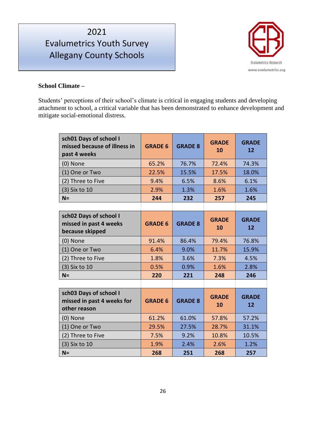# Evalumetrics Youth Survey Allegany County Schools



#### **School Climate –**

Students' perceptions of their school's climate is critical in engaging students and developing attachment to school, a critical variable that has been demonstrated to enhance development and mitigate social-emotional distress.

| sch01 Days of school I<br>missed because of illness in<br>past 4 weeks | <b>GRADE 6</b> | <b>GRADE 8</b> | <b>GRADE</b><br>10 | <b>GRADE</b><br>12 |
|------------------------------------------------------------------------|----------------|----------------|--------------------|--------------------|
| (0) None                                                               | 65.2%          | 76.7%          | 72.4%              | 74.3%              |
| (1) One or Two                                                         | 22.5%          | 15.5%          | 17.5%              | 18.0%              |
| (2) Three to Five                                                      | 9.4%           | 6.5%           | 8.6%               | 6.1%               |
| (3) Six to 10                                                          | 2.9%           | 1.3%           | 1.6%               | 1.6%               |
| $N =$                                                                  | 244            | 232            | 257                | 245                |
|                                                                        |                |                |                    |                    |
| sch02 Days of school I<br>missed in past 4 weeks<br>because skipped    | <b>GRADE 6</b> | <b>GRADE 8</b> | <b>GRADE</b><br>10 | <b>GRADE</b><br>12 |
| (0) None                                                               | 91.4%          | 86.4%          | 79.4%              | 76.8%              |
| (1) One or Two                                                         | 6.4%           | 9.0%           | 11.7%              | 15.9%              |
| (2) Three to Five                                                      | 1.8%           | 3.6%           | 7.3%               | 4.5%               |
| (3) Six to 10                                                          | 0.5%           | 0.9%           | 1.6%               | 2.8%               |
| $N =$                                                                  | 220            | 221            | 248                | 246                |
|                                                                        |                |                |                    |                    |
| sch03 Days of school I<br>missed in past 4 weeks for<br>other reason   | <b>GRADE 6</b> | <b>GRADE 8</b> | <b>GRADE</b><br>10 | <b>GRADE</b><br>12 |
| (0) None                                                               | 61.2%          | 61.0%          | 57.8%              | 57.2%              |
| (1) One or Two                                                         | 29.5%          | 27.5%          | 28.7%              | 31.1%              |
| (2) Three to Five                                                      | 7.5%           | 9.2%           | 10.8%              | 10.5%              |
| (3) Six to 10                                                          | 1.9%           | 2.4%           | 2.6%               | 1.2%               |
| $N =$                                                                  | 268            | 251            | 268                | 257                |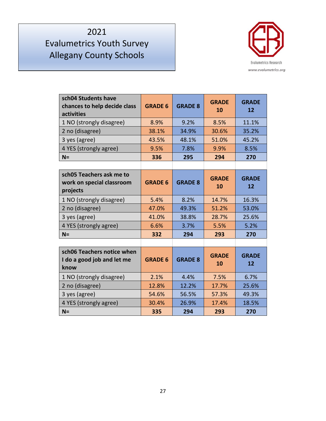

| sch04 Students have<br>chances to help decide class<br>activities | <b>GRADE 6</b> | <b>GRADE 8</b> | <b>GRADE</b><br>10 | <b>GRADE</b><br>12 |
|-------------------------------------------------------------------|----------------|----------------|--------------------|--------------------|
| 1 NO (strongly disagree)                                          | 8.9%           | 9.2%           | 8.5%               | 11.1%              |
| 2 no (disagree)                                                   | 38.1%          | 34.9%          | 30.6%              | 35.2%              |
| 3 yes (agree)                                                     | 43.5%          | 48.1%          | 51.0%              | 45.2%              |
| 4 YES (strongly agree)                                            | 9.5%           | 7.8%           | 9.9%               | 8.5%               |
| $N =$                                                             | 336            | 295            | 294                | 270                |
|                                                                   |                |                |                    |                    |
| sch05 Teachers ask me to<br>work on special classroom<br>projects | <b>GRADE 6</b> | <b>GRADE 8</b> | <b>GRADE</b><br>10 | <b>GRADE</b><br>12 |
| 1 NO (strongly disagree)                                          | 5.4%           | 8.2%           | 14.7%              | 16.3%              |
| 2 no (disagree)                                                   | 47.0%          | 49.3%          | 51.2%              | 53.0%              |
| 3 yes (agree)                                                     | 41.0%          | 38.8%          | 28.7%              | 25.6%              |
| 4 YES (strongly agree)                                            | 6.6%           | 3.7%           | 5.5%               | 5.2%               |
| $N =$                                                             | 332            | 294            | 293                | 270                |
|                                                                   |                |                |                    |                    |
| sch06 Teachers notice when<br>I do a good job and let me<br>know  | <b>GRADE 6</b> | <b>GRADE 8</b> | <b>GRADE</b><br>10 | <b>GRADE</b><br>12 |
| 1 NO (strongly disagree)                                          | 2.1%           | 4.4%           | 7.5%               | 6.7%               |
| 2 no (disagree)                                                   | 12.8%          | 12.2%          | 17.7%              | 25.6%              |
| 3 yes (agree)                                                     | 54.6%          | 56.5%          | 57.3%              | 49.3%              |
| 4 YES (strongly agree)                                            | 30.4%          | 26.9%          | 17.4%              | 18.5%              |
| $N =$                                                             | 335            | 294            | 293                | 270                |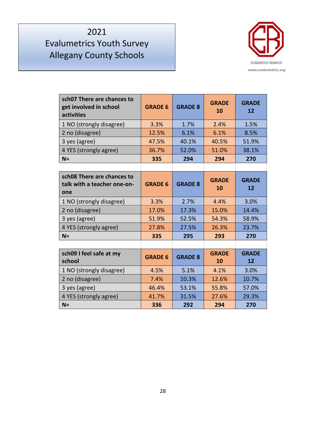

| sch07 There are chances to<br>get involved in school<br>activities | <b>GRADE 6</b> | <b>GRADE 8</b> | <b>GRADE</b><br>10 | <b>GRADE</b><br>12 |
|--------------------------------------------------------------------|----------------|----------------|--------------------|--------------------|
| 1 NO (strongly disagree)                                           | 3.3%           | 1.7%           | 2.4%               | 1.5%               |
| 2 no (disagree)                                                    | 12.5%          | 6.1%           | 6.1%               | 8.5%               |
| 3 yes (agree)                                                      | 47.5%          | 40.1%          | 40.5%              | 51.9%              |
| 4 YES (strongly agree)                                             | 36.7%          | 52.0%          | 51.0%              | 38.1%              |
| $N =$                                                              | 335            | 294            | 294                | 270                |
|                                                                    |                |                |                    |                    |
| sch08 There are chances to<br>talk with a teacher one-on-<br>one   | <b>GRADE 6</b> | <b>GRADE 8</b> | <b>GRADE</b><br>10 | <b>GRADE</b><br>12 |
| 1 NO (strongly disagree)                                           | 3.3%           | 2.7%           | 4.4%               | 3.0%               |
| 2 no (disagree)                                                    | 17.0%          | 17.3%          | 15.0%              | 14.4%              |
| 3 yes (agree)                                                      | 51.9%          | 52.5%          | 54.3%              | 58.9%              |
| 4 YES (strongly agree)                                             | 27.8%          | 27.5%          | 26.3%              | 23.7%              |
| $N =$                                                              | 335            | 295            | 293                | 270                |
|                                                                    |                |                |                    |                    |
| sch09 I feel safe at my<br>school                                  | <b>GRADE 6</b> | <b>GRADE 8</b> | <b>GRADE</b><br>10 | <b>GRADE</b><br>12 |
| 1 NO (strongly disagree)                                           | 4.5%           | 5.1%           | 4.1%               | 3.0%               |
| 2 no (disagree)                                                    | 7.4%           | 10.3%          | 12.6%              | 10.7%              |
| 3 yes (agree)                                                      | 46.4%          | 53.1%          | 55.8%              | 57.0%              |
| 4 YES (strongly agree)                                             | 41.7%          | 31.5%          | 27.6%              | 29.3%              |
| $N =$                                                              | 336            | 292            | 294                | 270                |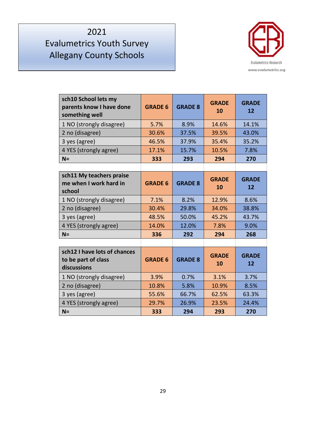

| sch10 School lets my<br>parents know I have done<br>something well | <b>GRADE 6</b> | <b>GRADE 8</b> | <b>GRADE</b><br>10 | <b>GRADE</b><br>12 |
|--------------------------------------------------------------------|----------------|----------------|--------------------|--------------------|
| 1 NO (strongly disagree)                                           | 5.7%           | 8.9%           | 14.6%              | 14.1%              |
| 2 no (disagree)                                                    | 30.6%          | 37.5%          | 39.5%              | 43.0%              |
| 3 yes (agree)                                                      | 46.5%          | 37.9%          | 35.4%              | 35.2%              |
| 4 YES (strongly agree)                                             | 17.1%          | 15.7%          | 10.5%              | 7.8%               |
| $N =$                                                              | 333            | 293            | 294                | 270                |
|                                                                    |                |                |                    |                    |
| sch11 My teachers praise<br>me when I work hard in<br>school       | <b>GRADE 6</b> | <b>GRADE 8</b> | <b>GRADE</b><br>10 | <b>GRADE</b><br>12 |
| 1 NO (strongly disagree)                                           | 7.1%           | 8.2%           | 12.9%              | 8.6%               |
| 2 no (disagree)                                                    | 30.4%          | 29.8%          | 34.0%              | 38.8%              |
| 3 yes (agree)                                                      | 48.5%          | 50.0%          | 45.2%              | 43.7%              |
| 4 YES (strongly agree)                                             | 14.0%          | 12.0%          | 7.8%               | 9.0%               |
| $N =$                                                              | 336            | 292            | 294                | 268                |
|                                                                    |                |                |                    |                    |
| sch12 I have lots of chances<br>to be part of class<br>discussions | <b>GRADE 6</b> | <b>GRADE 8</b> | <b>GRADE</b><br>10 | <b>GRADE</b><br>12 |
| 1 NO (strongly disagree)                                           | 3.9%           | 0.7%           | 3.1%               | 3.7%               |
| 2 no (disagree)                                                    | 10.8%          | 5.8%           | 10.9%              | 8.5%               |
| 3 yes (agree)                                                      | 55.6%          | 66.7%          | 62.5%              | 63.3%              |
| 4 YES (strongly agree)                                             | 29.7%          | 26.9%          | 23.5%              | 24.4%              |
| $N =$                                                              | 333            | 294            | 293                | 270                |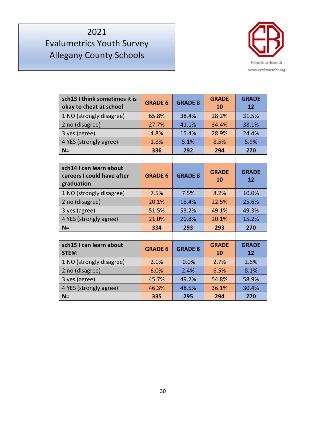

| sch13 I think sometimes it is<br>okay to cheat at school            | <b>GRADE 6</b> | <b>GRADE 8</b> | <b>GRADE</b><br>10 | <b>GRADE</b><br>12 |
|---------------------------------------------------------------------|----------------|----------------|--------------------|--------------------|
| 1 NO (strongly disagree)                                            | 65.8%          | 38.4%          | 28.2%              | 31.5%              |
| 2 no (disagree)                                                     | 27.7%          | 41.1%          | 34.4%              | 38.1%              |
| 3 yes (agree)                                                       | 4.8%           | 15.4%          | 28.9%              | 24.4%              |
| 4 YES (strongly agree)                                              | 1.8%           | 5.1%           | 8.5%               | 5.9%               |
| $N =$                                                               | 336            | 292            | 294                | 270                |
|                                                                     |                |                |                    |                    |
| sch14 I can learn about<br>careers I could have after<br>graduation | <b>GRADE 6</b> | <b>GRADE 8</b> | <b>GRADE</b><br>10 | <b>GRADE</b><br>12 |
| 1 NO (strongly disagree)                                            | 7.5%           | 7.5%           | 8.2%               | 10.0%              |
| 2 no (disagree)                                                     | 20.1%          | 18.4%          | 22.5%              | 25.6%              |
| 3 yes (agree)                                                       | 51.5%          | 53.2%          | 49.1%              | 49.3%              |
| 4 YES (strongly agree)                                              | 21.0%          | 20.8%          | 20.1%              | 15.2%              |
| $N =$                                                               | 334            | 293            | 293                | 270                |
|                                                                     |                |                |                    |                    |
| sch15 I can learn about<br><b>STEM</b>                              | <b>GRADE 6</b> | <b>GRADE 8</b> | <b>GRADE</b><br>10 | <b>GRADE</b><br>12 |
| 1 NO (strongly disagree)                                            | 2.1%           | 0.0%           | 2.7%               | 2.6%               |
| 2 no (disagree)                                                     | 6.0%           | 2.4%           | 6.5%               | 8.1%               |
| 3 yes (agree)                                                       | 45.7%          | 49.2%          | 54.8%              | 58.9%              |
| 4 YES (strongly agree)                                              | 46.3%          | 48.5%          | 36.1%              | 30.4%              |
| $N =$                                                               | 335            | 295            | 294                | 270                |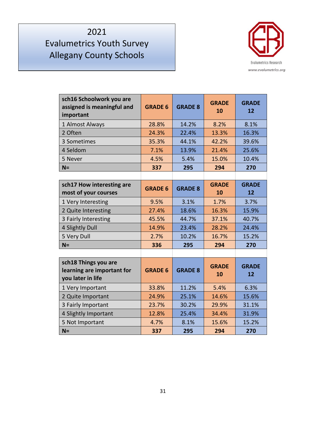

| sch16 Schoolwork you are<br>assigned is meaningful and<br>important     | <b>GRADE 6</b> | <b>GRADE 8</b> | <b>GRADE</b><br>10 | <b>GRADE</b><br>12 |
|-------------------------------------------------------------------------|----------------|----------------|--------------------|--------------------|
| 1 Almost Always                                                         | 28.8%          | 14.2%          | 8.2%               | 8.1%               |
| 2 Often                                                                 | 24.3%          | 22.4%          | 13.3%              | 16.3%              |
| 3 Sometimes                                                             | 35.3%          | 44.1%          | 42.2%              | 39.6%              |
| 4 Seldom                                                                | 7.1%           | 13.9%          | 21.4%              | 25.6%              |
| 5 Never                                                                 | 4.5%           | 5.4%           | 15.0%              | 10.4%              |
| $N =$                                                                   | 337            | 295            | 294                | 270                |
|                                                                         |                |                |                    |                    |
| sch17 How interesting are<br>most of your courses                       | <b>GRADE 6</b> | <b>GRADE 8</b> | <b>GRADE</b><br>10 | <b>GRADE</b><br>12 |
| 1 Very Interesting                                                      | 9.5%           | 3.1%           | 1.7%               | 3.7%               |
| 2 Quite Interesting                                                     | 27.4%          | 18.6%          | 16.3%              | 15.9%              |
| 3 Fairly Interesting                                                    | 45.5%          | 44.7%          | 37.1%              | 40.7%              |
| 4 Slightly Dull                                                         | 14.9%          | 23.4%          | 28.2%              | 24.4%              |
| 5 Very Dull                                                             | 2.7%           | 10.2%          | 16.7%              | 15.2%              |
| $N =$                                                                   | 336            | 295            | 294                | 270                |
|                                                                         |                |                |                    |                    |
| sch18 Things you are<br>learning are important for<br>you later in life | <b>GRADE 6</b> | <b>GRADE 8</b> | <b>GRADE</b><br>10 | <b>GRADE</b><br>12 |
| 1 Very Important                                                        | 33.8%          | 11.2%          | 5.4%               | 6.3%               |
| 2 Quite Important                                                       | 24.9%          | 25.1%          | 14.6%              | 15.6%              |
| 3 Fairly Important                                                      | 23.7%          | 30.2%          | 29.9%              | 31.1%              |
| 4 Slightly Important                                                    | 12.8%          | 25.4%          | 34.4%              | 31.9%              |
| 5 Not Important                                                         | 4.7%           | 8.1%           | 15.6%              | 15.2%              |
| $N =$                                                                   | 337            | 295            | 294                | 270                |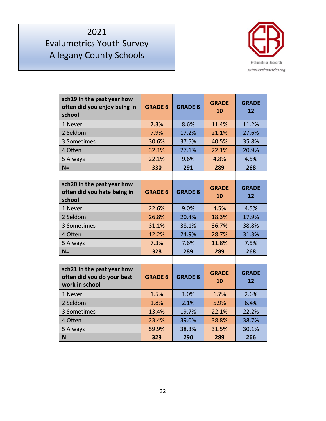

| sch19 In the past year how<br>often did you enjoy being in<br>school       | <b>GRADE 6</b> | <b>GRADE 8</b> | <b>GRADE</b><br>10 | <b>GRADE</b><br>12 |
|----------------------------------------------------------------------------|----------------|----------------|--------------------|--------------------|
| 1 Never                                                                    | 7.3%           | 8.6%           | 11.4%              | 11.2%              |
| 2 Seldom                                                                   | 7.9%           | 17.2%          | 21.1%              | 27.6%              |
| 3 Sometimes                                                                | 30.6%          | 37.5%          | 40.5%              | 35.8%              |
| 4 Often                                                                    | 32.1%          | 27.1%          | 22.1%              | 20.9%              |
| 5 Always                                                                   | 22.1%          | 9.6%           | 4.8%               | 4.5%               |
| $N =$                                                                      | 330            | 291            | 289                | 268                |
|                                                                            |                |                |                    |                    |
| sch20 In the past year how<br>often did you hate being in<br>school        | <b>GRADE 6</b> | <b>GRADE 8</b> | <b>GRADE</b><br>10 | <b>GRADE</b><br>12 |
| 1 Never                                                                    | 22.6%          | 9.0%           | 4.5%               | 4.5%               |
| 2 Seldom                                                                   | 26.8%          | 20.4%          | 18.3%              | 17.9%              |
| 3 Sometimes                                                                | 31.1%          | 38.1%          | 36.7%              | 38.8%              |
| 4 Often                                                                    | 12.2%          | 24.9%          | 28.7%              | 31.3%              |
| 5 Always                                                                   | 7.3%           | 7.6%           | 11.8%              | 7.5%               |
| $N =$                                                                      | 328            | 289            | 289                | 268                |
|                                                                            |                |                |                    |                    |
| sch21 In the past year how<br>often did you do your best<br>work in school | <b>GRADE 6</b> | <b>GRADE 8</b> | <b>GRADE</b><br>10 | <b>GRADE</b><br>12 |
| 1 Never                                                                    | 1.5%           | 1.0%           | 1.7%               | 2.6%               |
| 2 Seldom                                                                   | 1.8%           | 2.1%           | 5.9%               | 6.4%               |
| 3 Sometimes                                                                | 13.4%          | 19.7%          | 22.1%              | 22.2%              |
| 4 Often                                                                    | 23.4%          | 39.0%          | 38.8%              | 38.7%              |
| 5 Always                                                                   | 59.9%          | 38.3%          | 31.5%              | 30.1%              |
| $N =$                                                                      | 329            | 290            | 289                | 266                |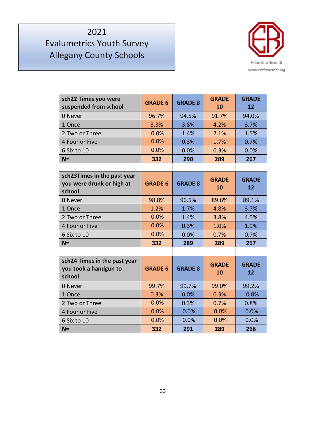

| sch22 Times you were<br>suspended from school                      | <b>GRADE 6</b> | <b>GRADE 8</b> | <b>GRADE</b><br>10 | <b>GRADE</b><br>12 |
|--------------------------------------------------------------------|----------------|----------------|--------------------|--------------------|
| 0 Never                                                            | 96.7%          | 94.5%          | 91.7%              | 94.0%              |
| 1 Once                                                             | 3.3%           | 3.8%           | 4.2%               | 3.7%               |
| 2 Two or Three                                                     | 0.0%           | 1.4%           | 2.1%               | 1.5%               |
| 4 Four or Five                                                     | 0.0%           | 0.3%           | 1.7%               | 0.7%               |
| 6 Six to 10                                                        | 0.0%           | 0.0%           | 0.3%               | 0.0%               |
| $N =$                                                              | 332            | 290            | 289                | 267                |
|                                                                    |                |                |                    |                    |
| sch23Times in the past year<br>you were drunk or high at<br>school | <b>GRADE 6</b> | <b>GRADE 8</b> | <b>GRADE</b><br>10 | <b>GRADE</b><br>12 |
| 0 Never                                                            | 98.8%          | 96.5%          | 89.6%              | 89.1%              |
| 1 Once                                                             | 1.2%           | 1.7%           | 4.8%               | 3.7%               |
| 2 Two or Three                                                     | 0.0%           | 1.4%           | 3.8%               | 4.5%               |
| 4 Four or Five                                                     | 0.0%           | 0.3%           | 1.0%               | 1.9%               |
| 6 Six to 10                                                        | 0.0%           | 0.0%           | 0.7%               | 0.7%               |
| $N =$                                                              | 332            | 289            | 289                | 267                |
|                                                                    |                |                |                    |                    |
| sch24 Times in the past year<br>you took a handgun to<br>school    | <b>GRADE 6</b> | <b>GRADE 8</b> | <b>GRADE</b><br>10 | <b>GRADE</b><br>12 |
| 0 Never                                                            | 99.7%          | 99.7%          | 99.0%              | 99.2%              |
| 1 Once                                                             | 0.3%           | 0.0%           | 0.3%               | 0.0%               |
| 2 Two or Three                                                     | 0.0%           | 0.3%           | 0.7%               | 0.8%               |
| 4 Four or Five                                                     | 0.0%           | 0.0%           | 0.0%               | 0.0%               |
| 6 Six to 10                                                        | 0.0%           | 0.0%           | 0.0%               | 0.0%               |
| $N =$                                                              | 332            | 291            | 289                | 266                |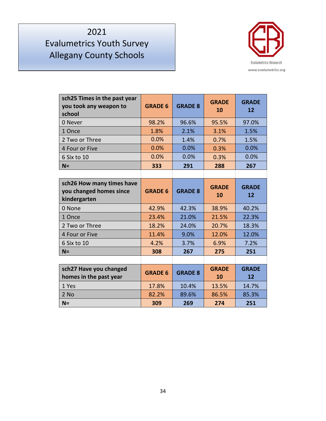

| sch25 Times in the past year<br>you took any weapon to<br>school     | <b>GRADE 6</b> | <b>GRADE 8</b> | <b>GRADE</b><br>10 | <b>GRADE</b><br>$12 \overline{ }$ |
|----------------------------------------------------------------------|----------------|----------------|--------------------|-----------------------------------|
| 0 Never                                                              | 98.2%          | 96.6%          | 95.5%              | 97.0%                             |
| 1 Once                                                               | 1.8%           | 2.1%           | 3.1%               | 1.5%                              |
| 2 Two or Three                                                       | 0.0%           | 1.4%           | 0.7%               | 1.5%                              |
| 4 Four or Five                                                       | 0.0%           | 0.0%           | 0.3%               | 0.0%                              |
| 6 Six to 10                                                          | 0.0%           | 0.0%           | 0.3%               | 0.0%                              |
| $N =$                                                                | 333            | 291            | 288                | 267                               |
|                                                                      |                |                |                    |                                   |
| sch26 How many times have<br>you changed homes since<br>kindergarten | <b>GRADE 6</b> | <b>GRADE 8</b> | <b>GRADE</b><br>10 | <b>GRADE</b><br>12                |
| 0 None                                                               | 42.9%          | 42.3%          | 38.9%              | 40.2%                             |
| 1 Once                                                               | 23.4%          | 21.0%          | 21.5%              | 22.3%                             |
| 2 Two or Three                                                       | 18.2%          | 24.0%          | 20.7%              | 18.3%                             |
| 4 Four or Five                                                       | 11.4%          | 9.0%           | 12.0%              | 12.0%                             |
| 6 Six to 10                                                          | 4.2%           | 3.7%           | 6.9%               | 7.2%                              |
| $N =$                                                                | 308            | 267            | 275                | 251                               |
|                                                                      |                |                |                    |                                   |
| sch27 Have you changed<br>homes in the past year                     | <b>GRADE 6</b> | <b>GRADE 8</b> | <b>GRADE</b><br>10 | <b>GRADE</b><br>12                |
| 1 Yes                                                                | 17.8%          | 10.4%          | 13.5%              | 14.7%                             |
| 2 No                                                                 | 82.2%          | 89.6%          | 86.5%              | 85.3%                             |
| $N =$                                                                | 309            | 269            | 274                | 251                               |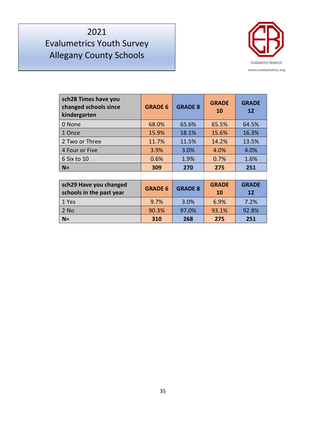

| sch28 Times have you<br>changed schools since<br>kindergarten | <b>GRADE 6</b> | <b>GRADE 8</b> | <b>GRADE</b><br>10 | <b>GRADE</b><br>12 |
|---------------------------------------------------------------|----------------|----------------|--------------------|--------------------|
| 0 None                                                        | 68.0%          | 65.6%          | 65.5%              | 64.5%              |
| 1 Once                                                        | 15.9%          | 18.1%          | 15.6%              | 16.3%              |
| 2 Two or Three                                                | 11.7%          | 11.5%          | 14.2%              | 13.5%              |
| 4 Four or Five                                                | 3.9%           | 3.0%           | 4.0%               | 4.0%               |
| 6 Six to 10                                                   | 0.6%           | 1.9%           | 0.7%               | 1.6%               |
| $N =$                                                         | 309            | 270            | 275                | 251                |
|                                                               |                |                |                    |                    |
| sch29 Have you changed<br>schools in the past year            | <b>GRADE 6</b> | <b>GRADE 8</b> | <b>GRADE</b><br>10 | <b>GRADE</b><br>12 |
| 1 Yes                                                         | 9.7%           | 3.0%           | 6.9%               | 7.2%               |
| 2 No                                                          | 90.3%          | 97.0%          | 93.1%              | 92.8%              |
| $N =$                                                         | 310            | 268            | 275                | 251                |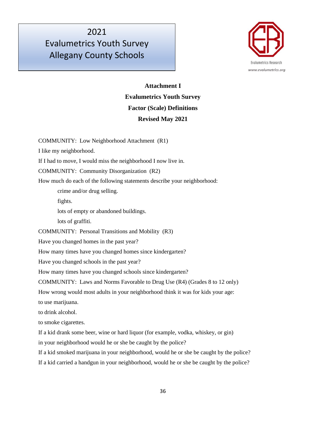

### **Attachment I Evalumetrics Youth Survey Factor (Scale) Definitions Revised May 2021**

COMMUNITY: Low Neighborhood Attachment (R1) I like my neighborhood. If I had to move, I would miss the neighborhood I now live in. COMMUNITY: Community Disorganization (R2) How much do each of the following statements describe your neighborhood: crime and/or drug selling. fights. lots of empty or abandoned buildings. lots of graffiti. COMMUNITY: Personal Transitions and Mobility (R3) Have you changed homes in the past year? How many times have you changed homes since kindergarten? Have you changed schools in the past year? How many times have you changed schools since kindergarten? COMMUNITY: Laws and Norms Favorable to Drug Use (R4) (Grades 8 to 12 only) How wrong would most adults in your neighborhood think it was for kids your age: to use marijuana. to drink alcohol. to smoke cigarettes. If a kid drank some beer, wine or hard liquor (for example, vodka, whiskey, or gin) in your neighborhood would he or she be caught by the police? If a kid smoked marijuana in your neighborhood, would he or she be caught by the police? If a kid carried a handgun in your neighborhood, would he or she be caught by the police?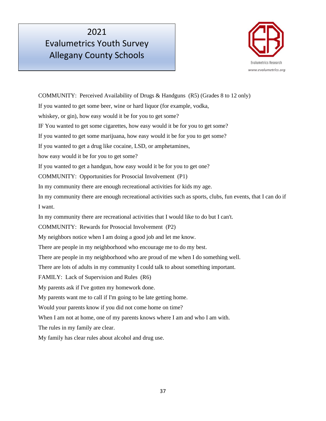

COMMUNITY: Perceived Availability of Drugs & Handguns (R5) (Grades 8 to 12 only) If you wanted to get some beer, wine or hard liquor (for example, vodka, whiskey, or gin), how easy would it be for you to get some? IF You wanted to get some cigarettes, how easy would it be for you to get some? If you wanted to get some marijuana, how easy would it be for you to get some? If you wanted to get a drug like cocaine, LSD, or amphetamines, how easy would it be for you to get some? If you wanted to get a handgun, how easy would it be for you to get one? COMMUNITY: Opportunities for Prosocial Involvement (P1) In my community there are enough recreational activities for kids my age. In my community there are enough recreational activities such as sports, clubs, fun events, that I can do if I want. In my community there are recreational activities that I would like to do but I can't. COMMUNITY: Rewards for Prosocial Involvement (P2) My neighbors notice when I am doing a good job and let me know. There are people in my neighborhood who encourage me to do my best. There are people in my neighborhood who are proud of me when I do something well. There are lots of adults in my community I could talk to about something important. FAMILY: Lack of Supervision and Rules (R6) My parents ask if I've gotten my homework done. My parents want me to call if I'm going to be late getting home. Would your parents know if you did not come home on time? When I am not at home, one of my parents knows where I am and who I am with. The rules in my family are clear. My family has clear rules about alcohol and drug use.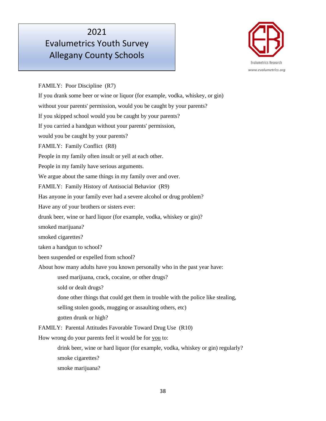# Evalumetrics Youth Survey Allegany County Schools



FAMILY: Poor Discipline (R7)

If you drank some beer or wine or liquor (for example, vodka, whiskey, or gin) without your parents' permission, would you be caught by your parents? If you skipped school would you be caught by your parents? If you carried a handgun without your parents' permission, would you be caught by your parents? FAMILY: Family Conflict (R8) People in my family often insult or yell at each other. People in my family have serious arguments. We argue about the same things in my family over and over. FAMILY: Family History of Antisocial Behavior (R9) Has anyone in your family ever had a severe alcohol or drug problem? Have any of your brothers or sisters ever: drunk beer, wine or hard liquor (for example, vodka, whiskey or gin)? smoked marijuana? smoked cigarettes? taken a handgun to school? been suspended or expelled from school? About how many adults have you known personally who in the past year have: used marijuana, crack, cocaine, or other drugs? sold or dealt drugs? done other things that could get them in trouble with the police like stealing, selling stolen goods, mugging or assaulting others, etc) gotten drunk or high? FAMILY: Parental Attitudes Favorable Toward Drug Use (R10) How wrong do your parents feel it would be for you to: drink beer, wine or hard liquor (for example, vodka, whiskey or gin) regularly? smoke cigarettes? smoke marijuana?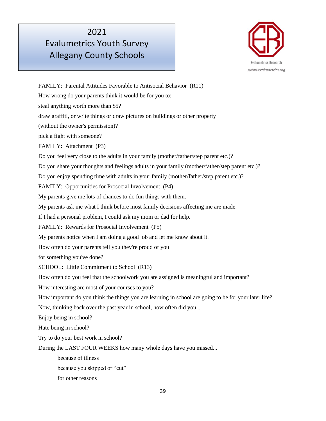

FAMILY: Parental Attitudes Favorable to Antisocial Behavior (R11) How wrong do your parents think it would be for you to: steal anything worth more than \$5? draw graffiti, or write things or draw pictures on buildings or other property (without the owner's permission)? pick a fight with someone? FAMILY: Attachment (P3) Do you feel very close to the adults in your family (mother/father/step parent etc.)? Do you share your thoughts and feelings adults in your family (mother/father/step parent etc.)? Do you enjoy spending time with adults in your family (mother/father/step parent etc.)? FAMILY: Opportunities for Prosocial Involvement (P4) My parents give me lots of chances to do fun things with them. My parents ask me what I think before most family decisions affecting me are made. If I had a personal problem, I could ask my mom or dad for help. FAMILY: Rewards for Prosocial Involvement (P5) My parents notice when I am doing a good job and let me know about it. How often do your parents tell you they're proud of you for something you've done? SCHOOL: Little Commitment to School (R13) How often do you feel that the schoolwork you are assigned is meaningful and important? How interesting are most of your courses to you? How important do you think the things you are learning in school are going to be for your later life? Now, thinking back over the past year in school, how often did you... Enjoy being in school? Hate being in school? Try to do your best work in school? During the LAST FOUR WEEKS how many whole days have you missed... because of illness because you skipped or "cut" for other reasons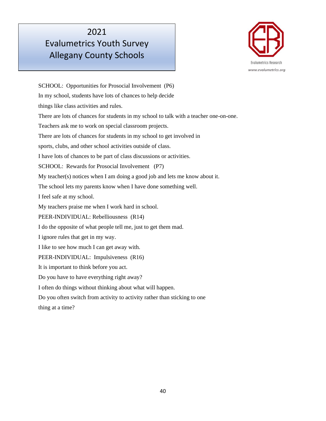

SCHOOL: Opportunities for Prosocial Involvement (P6) In my school, students have lots of chances to help decide things like class activities and rules. There are lots of chances for students in my school to talk with a teacher one-on-one. Teachers ask me to work on special classroom projects. There are lots of chances for students in my school to get involved in sports, clubs, and other school activities outside of class. I have lots of chances to be part of class discussions or activities. SCHOOL: Rewards for Prosocial Involvement (P7) My teacher(s) notices when I am doing a good job and lets me know about it. The school lets my parents know when I have done something well. I feel safe at my school. My teachers praise me when I work hard in school. PEER-INDIVIDUAL: Rebelliousness (R14) I do the opposite of what people tell me, just to get them mad. I ignore rules that get in my way. I like to see how much I can get away with. PEER-INDIVIDUAL: Impulsiveness (R16) It is important to think before you act. Do you have to have everything right away? I often do things without thinking about what will happen. Do you often switch from activity to activity rather than sticking to one thing at a time?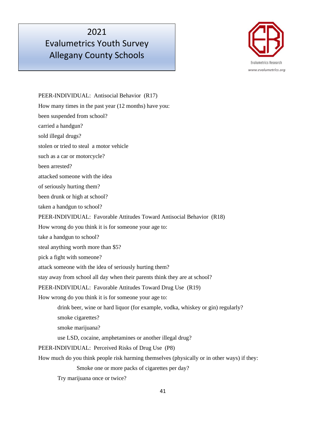# Evalumetrics Youth Survey Allegany County Schools



PEER-INDIVIDUAL: Antisocial Behavior (R17) How many times in the past year (12 months) have you: been suspended from school? carried a handgun? sold illegal drugs? stolen or tried to steal a motor vehicle such as a car or motorcycle? been arrested? attacked someone with the idea of seriously hurting them? been drunk or high at school? taken a handgun to school? PEER-INDIVIDUAL: Favorable Attitudes Toward Antisocial Behavior (R18) How wrong do you think it is for someone your age to: take a handgun to school? steal anything worth more than \$5? pick a fight with someone? attack someone with the idea of seriously hurting them? stay away from school all day when their parents think they are at school? PEER-INDIVIDUAL: Favorable Attitudes Toward Drug Use (R19) How wrong do you think it is for someone your age to: drink beer, wine or hard liquor (for example, vodka, whiskey or gin) regularly? smoke cigarettes? smoke marijuana? use LSD, cocaine, amphetamines or another illegal drug? PEER-INDIVIDUAL: Perceived Risks of Drug Use (P8) How much do you think people risk harming themselves (physically or in other ways) if they: Smoke one or more packs of cigarettes per day? Try marijuana once or twice?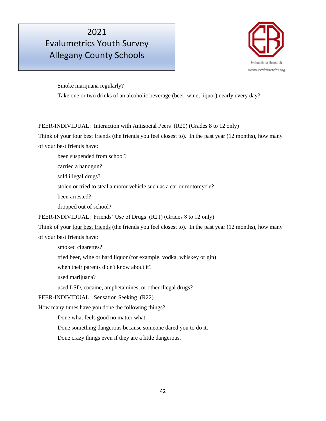

Smoke marijuana regularly? Take one or two drinks of an alcoholic beverage (beer, wine, liquor) nearly every day?

PEER-INDIVIDUAL: Interaction with Antisocial Peers (R20) (Grades 8 to 12 only)

Think of your <u>four best friends</u> (the friends you feel closest to). In the past year (12 months), how many of your best friends have:

been suspended from school?

carried a handgun?

sold illegal drugs?

stolen or tried to steal a motor vehicle such as a car or motorcycle?

been arrested?

dropped out of school?

PEER-INDIVIDUAL: Friends' Use of Drugs (R21) (Grades 8 to 12 only)

Think of your <u>four best friends</u> (the friends you feel closest to). In the past year (12 months), how many of your best friends have:

smoked cigarettes?

tried beer, wine or hard liquor (for example, vodka, whiskey or gin)

when their parents didn't know about it?

used marijuana?

used LSD, cocaine, amphetamines, or other illegal drugs?

PEER-INDIVIDUAL: Sensation Seeking (R22)

How many times have you done the following things?

Done what feels good no matter what.

Done something dangerous because someone dared you to do it.

Done crazy things even if they are a little dangerous.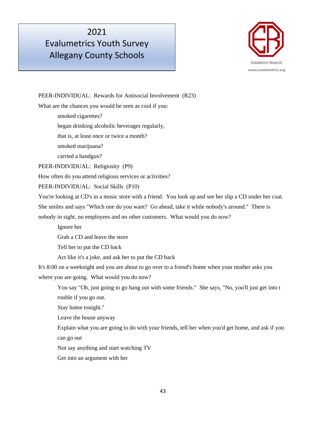# Evalumetrics Youth Survey Allegany County Schools



PEER-INDIVIDUAL: Rewards for Antisocial Involvement (R23) What are the chances you would be seen as cool if you: smoked cigarettes? began drinking alcoholic beverages regularly, that is, at least once or twice a month? smoked marijuana? carried a handgun? PEER-INDIVIDUAL: Religiosity (P9) How often do you attend religious services or activities? PEER-INDIVIDUAL: Social Skills (P10) You're looking at CD's in a music store with a friend. You look up and see her slip a CD under her coat. She smiles and says "Which one do you want? Go ahead, take it while nobody's around." There is nobody in sight, no employees and no other customers. What would you do now? Ignore her Grab a CD and leave the store Tell her to put the CD back Act like it's a joke, and ask her to put the CD back It's 8:00 on a weeknight and you are about to go over to a friend's home when your mother asks you where you are going. What would you do now? You say "Oh, just going to go hang out with some friends." She says, "No, you'll just get into t rouble if you go out. Stay home tonight." Leave the house anyway Explain what you are going to do with your friends, tell her when you'd get home, and ask if you can go out

Not say anything and start watching TV

Get into an argument with her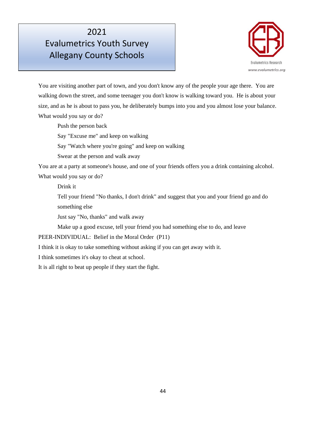

You are visiting another part of town, and you don't know any of the people your age there. You are walking down the street, and some teenager you don't know is walking toward you. He is about your size, and as he is about to pass you, he deliberately bumps into you and you almost lose your balance. What would you say or do?

Push the person back

Say "Excuse me" and keep on walking

Say "Watch where you're going" and keep on walking

Swear at the person and walk away

You are at a party at someone's house, and one of your friends offers you a drink containing alcohol. What would you say or do?

Drink it

Tell your friend "No thanks, I don't drink" and suggest that you and your friend go and do something else

Just say "No, thanks" and walk away

Make up a good excuse, tell your friend you had something else to do, and leave

PEER-INDIVIDUAL: Belief in the Moral Order (P11)

I think it is okay to take something without asking if you can get away with it.

I think sometimes it's okay to cheat at school.

It is all right to beat up people if they start the fight.